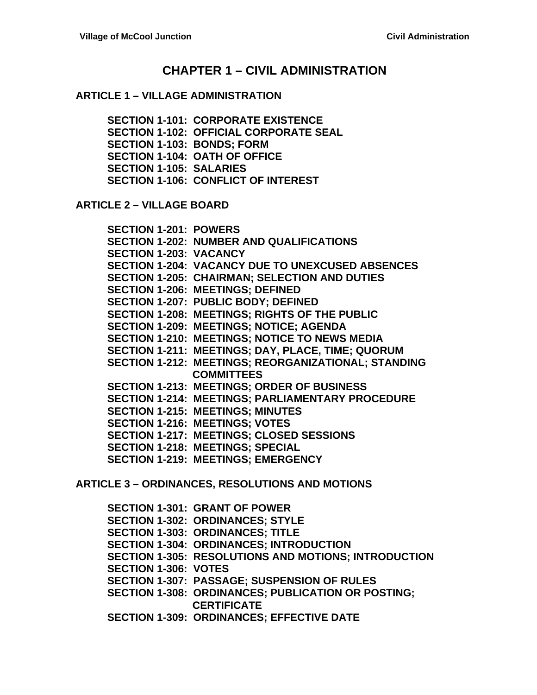## **CHAPTER 1 – CIVIL ADMINISTRATION**

#### **ARTICLE 1 – VILLAGE ADMINISTRATION**

**SECTION 1-101: CORPORATE EXISTENCE SECTION 1-102: OFFICIAL CORPORATE SEAL SECTION 1-103: BONDS; FORM SECTION 1-104: OATH OF OFFICE SECTION 1-105: SALARIES SECTION 1-106: CONFLICT OF INTEREST**

**ARTICLE 2 – VILLAGE BOARD**

**SECTION 1-201: POWERS SECTION 1-202: NUMBER AND QUALIFICATIONS SECTION 1-203: VACANCY SECTION 1-204: VACANCY DUE TO UNEXCUSED ABSENCES SECTION 1-205: CHAIRMAN; SELECTION AND DUTIES SECTION 1-206: MEETINGS; DEFINED SECTION 1-207: PUBLIC BODY; DEFINED SECTION 1-208: MEETINGS; RIGHTS OF THE PUBLIC SECTION 1-209: MEETINGS; NOTICE; AGENDA SECTION 1-210: MEETINGS; NOTICE TO NEWS MEDIA SECTION 1-211: MEETINGS; DAY, PLACE, TIME; QUORUM SECTION 1-212: MEETINGS; REORGANIZATIONAL; STANDING COMMITTEES SECTION 1-213: MEETINGS; ORDER OF BUSINESS SECTION 1-214: MEETINGS; PARLIAMENTARY PROCEDURE SECTION 1-215: MEETINGS; MINUTES SECTION 1-216: MEETINGS; VOTES SECTION 1-217: MEETINGS; CLOSED SESSIONS SECTION 1-218: MEETINGS; SPECIAL SECTION 1-219: MEETINGS; EMERGENCY**

**ARTICLE 3 – ORDINANCES, RESOLUTIONS AND MOTIONS**

**SECTION 1-301: GRANT OF POWER SECTION 1-302: ORDINANCES; STYLE SECTION 1-303: ORDINANCES; TITLE SECTION 1-304: ORDINANCES; INTRODUCTION SECTION 1-305: RESOLUTIONS AND MOTIONS; INTRODUCTION SECTION 1-306: VOTES SECTION 1-307: PASSAGE; SUSPENSION OF RULES SECTION 1-308: ORDINANCES; PUBLICATION OR POSTING; CERTIFICATE SECTION 1-309: ORDINANCES; EFFECTIVE DATE**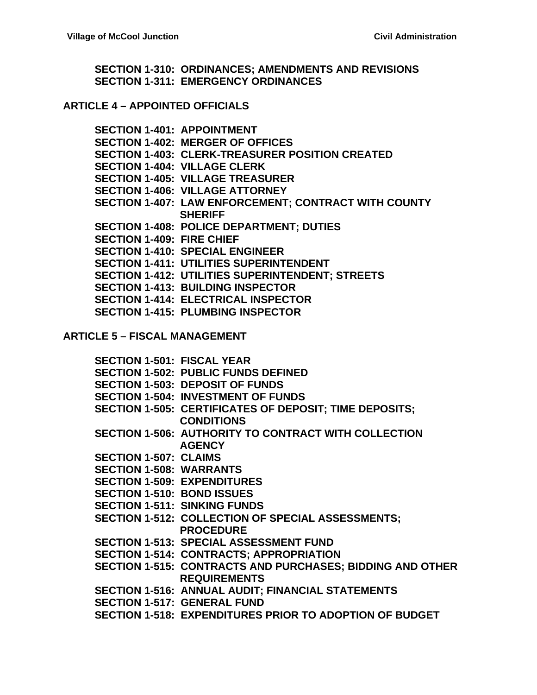**SECTION 1-310: ORDINANCES; AMENDMENTS AND REVISIONS SECTION 1-311: EMERGENCY ORDINANCES**

#### **ARTICLE 4 – APPOINTED OFFICIALS**

**SECTION 1-401: APPOINTMENT SECTION 1-402: MERGER OF OFFICES SECTION 1-403: CLERK-TREASURER POSITION CREATED SECTION 1-404: VILLAGE CLERK SECTION 1-405: VILLAGE TREASURER SECTION 1-406: VILLAGE ATTORNEY SECTION 1-407: LAW ENFORCEMENT; CONTRACT WITH COUNTY SHERIFF SECTION 1-408: POLICE DEPARTMENT; DUTIES SECTION 1-409: FIRE CHIEF SECTION 1-410: SPECIAL ENGINEER SECTION 1-411: UTILITIES SUPERINTENDENT SECTION 1-412: UTILITIES SUPERINTENDENT; STREETS SECTION 1-413: BUILDING INSPECTOR SECTION 1-414: ELECTRICAL INSPECTOR SECTION 1-415: PLUMBING INSPECTOR**

#### **ARTICLE 5 – FISCAL MANAGEMENT**

**SECTION 1-501: FISCAL YEAR SECTION 1-502: PUBLIC FUNDS DEFINED SECTION 1-503: DEPOSIT OF FUNDS SECTION 1-504: INVESTMENT OF FUNDS SECTION 1-505: CERTIFICATES OF DEPOSIT; TIME DEPOSITS; CONDITIONS SECTION 1-506: AUTHORITY TO CONTRACT WITH COLLECTION AGENCY SECTION 1-507: CLAIMS SECTION 1-508: WARRANTS SECTION 1-509: EXPENDITURES SECTION 1-510: BOND ISSUES SECTION 1-511: SINKING FUNDS SECTION 1-512: COLLECTION OF SPECIAL ASSESSMENTS; PROCEDURE SECTION 1-513: SPECIAL ASSESSMENT FUND SECTION 1-514: CONTRACTS; APPROPRIATION SECTION 1-515: CONTRACTS AND PURCHASES; BIDDING AND OTHER REQUIREMENTS SECTION 1-516: ANNUAL AUDIT; FINANCIAL STATEMENTS SECTION 1-517: GENERAL FUND SECTION 1-518: EXPENDITURES PRIOR TO ADOPTION OF BUDGET**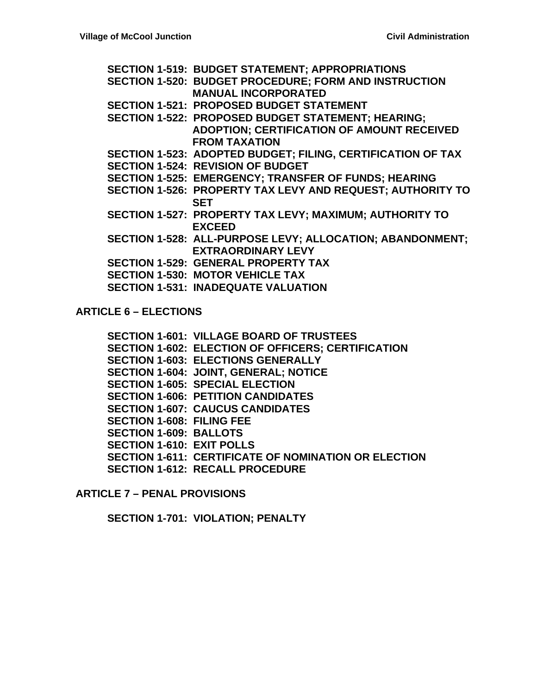**SECTION 1-519: BUDGET STATEMENT; APPROPRIATIONS SECTION 1-520: BUDGET PROCEDURE; FORM AND INSTRUCTION MANUAL INCORPORATED SECTION 1-521: PROPOSED BUDGET STATEMENT SECTION 1-522: PROPOSED BUDGET STATEMENT; HEARING; ADOPTION; CERTIFICATION OF AMOUNT RECEIVED FROM TAXATION SECTION 1-523: ADOPTED BUDGET; FILING, CERTIFICATION OF TAX SECTION 1-524: REVISION OF BUDGET SECTION 1-525: EMERGENCY; TRANSFER OF FUNDS; HEARING SECTION 1-526: PROPERTY TAX LEVY AND REQUEST; AUTHORITY TO SET SECTION 1-527: PROPERTY TAX LEVY; MAXIMUM; AUTHORITY TO EXCEED SECTION 1-528: ALL-PURPOSE LEVY; ALLOCATION; ABANDONMENT; EXTRAORDINARY LEVY SECTION 1-529: GENERAL PROPERTY TAX SECTION 1-530: MOTOR VEHICLE TAX SECTION 1-531: INADEQUATE VALUATION**

**ARTICLE 6 – ELECTIONS**

**SECTION 1-601: VILLAGE BOARD OF TRUSTEES SECTION 1-602: ELECTION OF OFFICERS; CERTIFICATION SECTION 1-603: ELECTIONS GENERALLY SECTION 1-604: JOINT, GENERAL; NOTICE SECTION 1-605: SPECIAL ELECTION SECTION 1-606: PETITION CANDIDATES SECTION 1-607: CAUCUS CANDIDATES SECTION 1-608: FILING FEE SECTION 1-609: BALLOTS SECTION 1-610: EXIT POLLS SECTION 1-611: CERTIFICATE OF NOMINATION OR ELECTION SECTION 1-612: RECALL PROCEDURE**

**ARTICLE 7 – PENAL PROVISIONS**

**SECTION 1-701: VIOLATION; PENALTY**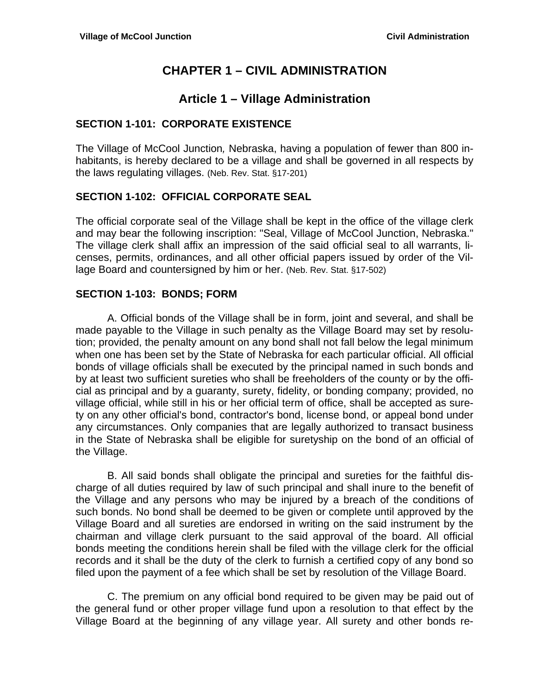# **CHAPTER 1 – CIVIL ADMINISTRATION**

## **Article 1 – Village Administration**

### **SECTION 1-101: CORPORATE EXISTENCE**

The Village of McCool Junction*,* Nebraska, having a population of fewer than 800 inhabitants, is hereby declared to be a village and shall be governed in all respects by the laws regulating villages. (Neb. Rev. Stat. §17-201)

### **SECTION 1-102: OFFICIAL CORPORATE SEAL**

The official corporate seal of the Village shall be kept in the office of the village clerk and may bear the following inscription: "Seal, Village of McCool Junction, Nebraska." The village clerk shall affix an impression of the said official seal to all warrants, licenses, permits, ordinances, and all other official papers issued by order of the Village Board and countersigned by him or her. (Neb. Rev. Stat. §17-502)

#### **SECTION 1-103: BONDS; FORM**

 A. Official bonds of the Village shall be in form, joint and several, and shall be made payable to the Village in such penalty as the Village Board may set by resolution; provided, the penalty amount on any bond shall not fall below the legal minimum when one has been set by the State of Nebraska for each particular official. All official bonds of village officials shall be executed by the principal named in such bonds and by at least two sufficient sureties who shall be freeholders of the county or by the official as principal and by a guaranty, surety, fidelity, or bonding company; provided, no village official, while still in his or her official term of office, shall be accepted as surety on any other official's bond, contractor's bond, license bond, or appeal bond under any circumstances. Only companies that are legally authorized to transact business in the State of Nebraska shall be eligible for suretyship on the bond of an official of the Village.

 B. All said bonds shall obligate the principal and sureties for the faithful discharge of all duties required by law of such principal and shall inure to the benefit of the Village and any persons who may be injured by a breach of the conditions of such bonds. No bond shall be deemed to be given or complete until approved by the Village Board and all sureties are endorsed in writing on the said instrument by the chairman and village clerk pursuant to the said approval of the board. All official bonds meeting the conditions herein shall be filed with the village clerk for the official records and it shall be the duty of the clerk to furnish a certified copy of any bond so filed upon the payment of a fee which shall be set by resolution of the Village Board.

 C. The premium on any official bond required to be given may be paid out of the general fund or other proper village fund upon a resolution to that effect by the Village Board at the beginning of any village year. All surety and other bonds re-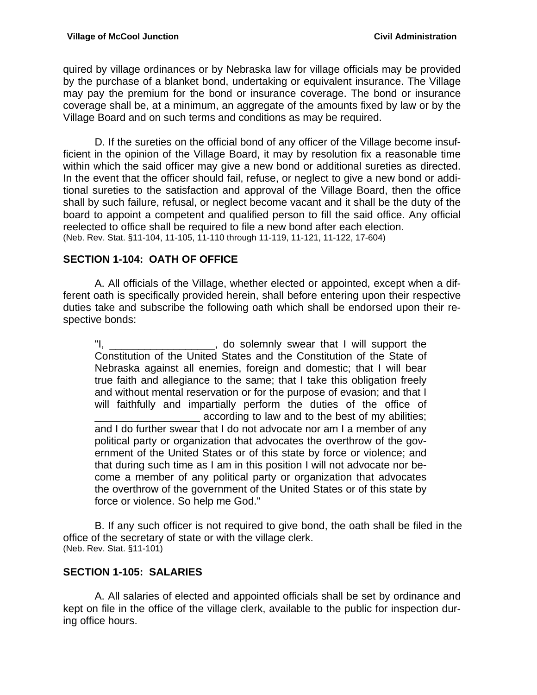quired by village ordinances or by Nebraska law for village officials may be provided by the purchase of a blanket bond, undertaking or equivalent insurance. The Village may pay the premium for the bond or insurance coverage. The bond or insurance coverage shall be, at a minimum, an aggregate of the amounts fixed by law or by the Village Board and on such terms and conditions as may be required.

 D. If the sureties on the official bond of any officer of the Village become insufficient in the opinion of the Village Board, it may by resolution fix a reasonable time within which the said officer may give a new bond or additional sureties as directed. In the event that the officer should fail, refuse, or neglect to give a new bond or additional sureties to the satisfaction and approval of the Village Board, then the office shall by such failure, refusal, or neglect become vacant and it shall be the duty of the board to appoint a competent and qualified person to fill the said office. Any official reelected to office shall be required to file a new bond after each election. (Neb. Rev. Stat. §11-104, 11-105, 11-110 through 11-119, 11-121, 11-122, 17-604)

## **SECTION 1-104: OATH OF OFFICE**

 A. All officials of the Village, whether elected or appointed, except when a different oath is specifically provided herein, shall before entering upon their respective duties take and subscribe the following oath which shall be endorsed upon their respective bonds:

"I, \_\_\_\_\_\_\_\_\_\_\_\_\_\_\_\_\_\_\_, do solemnly swear that I will support the Constitution of the United States and the Constitution of the State of Nebraska against all enemies, foreign and domestic; that I will bear true faith and allegiance to the same; that I take this obligation freely and without mental reservation or for the purpose of evasion; and that I will faithfully and impartially perform the duties of the office of according to law and to the best of my abilities; and I do further swear that I do not advocate nor am I a member of any political party or organization that advocates the overthrow of the government of the United States or of this state by force or violence; and that during such time as I am in this position I will not advocate nor become a member of any political party or organization that advocates the overthrow of the government of the United States or of this state by force or violence. So help me God."

 B. If any such officer is not required to give bond, the oath shall be filed in the office of the secretary of state or with the village clerk. (Neb. Rev. Stat. §11-101)

## **SECTION 1-105: SALARIES**

 A. All salaries of elected and appointed officials shall be set by ordinance and kept on file in the office of the village clerk, available to the public for inspection during office hours.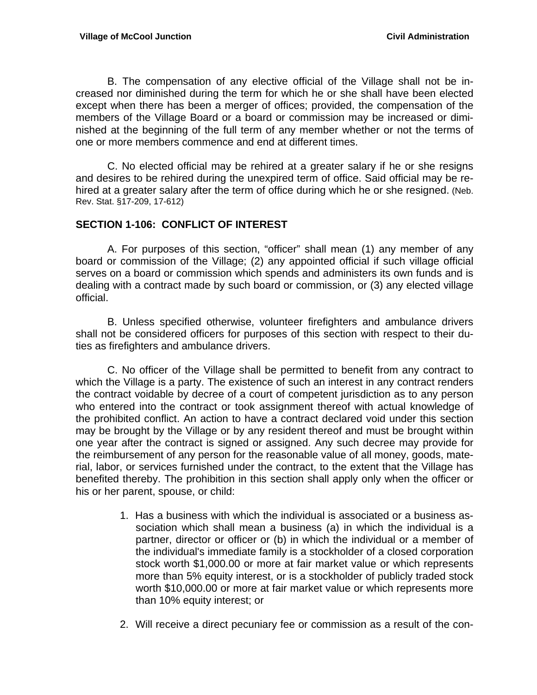B. The compensation of any elective official of the Village shall not be increased nor diminished during the term for which he or she shall have been elected except when there has been a merger of offices; provided, the compensation of the members of the Village Board or a board or commission may be increased or diminished at the beginning of the full term of any member whether or not the terms of one or more members commence and end at different times.

 C. No elected official may be rehired at a greater salary if he or she resigns and desires to be rehired during the unexpired term of office. Said official may be rehired at a greater salary after the term of office during which he or she resigned. (Neb. Rev. Stat. §17-209, 17-612)

#### **SECTION 1-106: CONFLICT OF INTEREST**

 A. For purposes of this section, "officer" shall mean (1) any member of any board or commission of the Village; (2) any appointed official if such village official serves on a board or commission which spends and administers its own funds and is dealing with a contract made by such board or commission, or (3) any elected village official.

 B. Unless specified otherwise, volunteer firefighters and ambulance drivers shall not be considered officers for purposes of this section with respect to their duties as firefighters and ambulance drivers.

 C. No officer of the Village shall be permitted to benefit from any contract to which the Village is a party. The existence of such an interest in any contract renders the contract voidable by decree of a court of competent jurisdiction as to any person who entered into the contract or took assignment thereof with actual knowledge of the prohibited conflict. An action to have a contract declared void under this section may be brought by the Village or by any resident thereof and must be brought within one year after the contract is signed or assigned. Any such decree may provide for the reimbursement of any person for the reasonable value of all money, goods, material, labor, or services furnished under the contract, to the extent that the Village has benefited thereby. The prohibition in this section shall apply only when the officer or his or her parent, spouse, or child:

- 1. Has a business with which the individual is associated or a business association which shall mean a business (a) in which the individual is a partner, director or officer or (b) in which the individual or a member of the individual's immediate family is a stockholder of a closed corporation stock worth \$1,000.00 or more at fair market value or which represents more than 5% equity interest, or is a stockholder of publicly traded stock worth \$10,000.00 or more at fair market value or which represents more than 10% equity interest; or
- 2. Will receive a direct pecuniary fee or commission as a result of the con-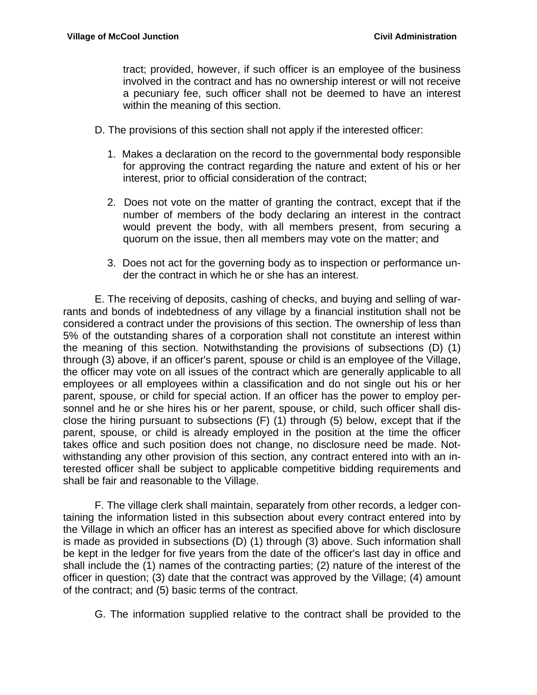tract; provided, however, if such officer is an employee of the business involved in the contract and has no ownership interest or will not receive a pecuniary fee, such officer shall not be deemed to have an interest within the meaning of this section.

- D. The provisions of this section shall not apply if the interested officer:
	- 1. Makes a declaration on the record to the governmental body responsible for approving the contract regarding the nature and extent of his or her interest, prior to official consideration of the contract;
	- 2. Does not vote on the matter of granting the contract, except that if the number of members of the body declaring an interest in the contract would prevent the body, with all members present, from securing a quorum on the issue, then all members may vote on the matter; and
	- 3. Does not act for the governing body as to inspection or performance under the contract in which he or she has an interest.

 E. The receiving of deposits, cashing of checks, and buying and selling of warrants and bonds of indebtedness of any village by a financial institution shall not be considered a contract under the provisions of this section. The ownership of less than 5% of the outstanding shares of a corporation shall not constitute an interest within the meaning of this section. Notwithstanding the provisions of subsections (D) (1) through (3) above, if an officer's parent, spouse or child is an employee of the Village, the officer may vote on all issues of the contract which are generally applicable to all employees or all employees within a classification and do not single out his or her parent, spouse, or child for special action. If an officer has the power to employ personnel and he or she hires his or her parent, spouse, or child, such officer shall disclose the hiring pursuant to subsections (F) (1) through (5) below, except that if the parent, spouse, or child is already employed in the position at the time the officer takes office and such position does not change, no disclosure need be made. Notwithstanding any other provision of this section, any contract entered into with an interested officer shall be subject to applicable competitive bidding requirements and shall be fair and reasonable to the Village.

 F. The village clerk shall maintain, separately from other records, a ledger containing the information listed in this subsection about every contract entered into by the Village in which an officer has an interest as specified above for which disclosure is made as provided in subsections (D) (1) through (3) above. Such information shall be kept in the ledger for five years from the date of the officer's last day in office and shall include the (1) names of the contracting parties; (2) nature of the interest of the officer in question; (3) date that the contract was approved by the Village; (4) amount of the contract; and (5) basic terms of the contract.

G. The information supplied relative to the contract shall be provided to the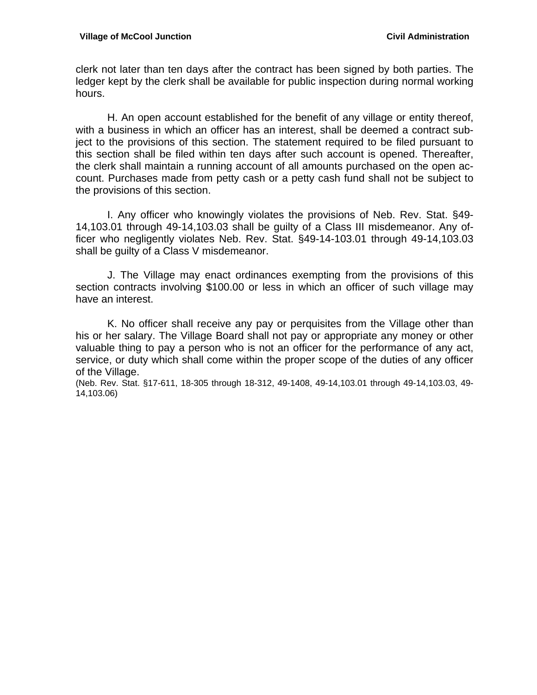clerk not later than ten days after the contract has been signed by both parties. The ledger kept by the clerk shall be available for public inspection during normal working hours.

 H. An open account established for the benefit of any village or entity thereof, with a business in which an officer has an interest, shall be deemed a contract subject to the provisions of this section. The statement required to be filed pursuant to this section shall be filed within ten days after such account is opened. Thereafter, the clerk shall maintain a running account of all amounts purchased on the open account. Purchases made from petty cash or a petty cash fund shall not be subject to the provisions of this section.

 I. Any officer who knowingly violates the provisions of Neb. Rev. Stat. §49- 14,103.01 through 49-14,103.03 shall be guilty of a Class III misdemeanor. Any officer who negligently violates Neb. Rev. Stat. §49-14-103.01 through 49-14,103.03 shall be guilty of a Class V misdemeanor.

 J. The Village may enact ordinances exempting from the provisions of this section contracts involving \$100.00 or less in which an officer of such village may have an interest.

 K. No officer shall receive any pay or perquisites from the Village other than his or her salary. The Village Board shall not pay or appropriate any money or other valuable thing to pay a person who is not an officer for the performance of any act, service, or duty which shall come within the proper scope of the duties of any officer of the Village.

(Neb. Rev. Stat. §17-611, 18-305 through 18-312, 49-1408, 49-14,103.01 through 49-14,103.03, 49- 14,103.06)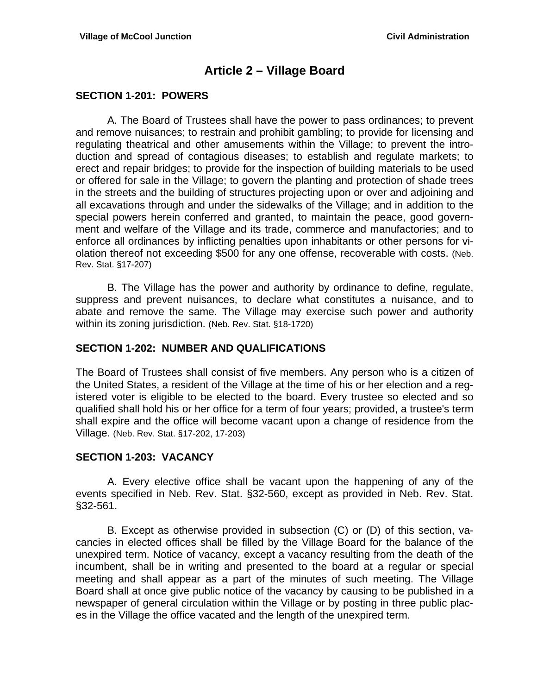## **Article 2 – Village Board**

#### **SECTION 1-201: POWERS**

 A. The Board of Trustees shall have the power to pass ordinances; to prevent and remove nuisances; to restrain and prohibit gambling; to provide for licensing and regulating theatrical and other amusements within the Village; to prevent the introduction and spread of contagious diseases; to establish and regulate markets; to erect and repair bridges; to provide for the inspection of building materials to be used or offered for sale in the Village; to govern the planting and protection of shade trees in the streets and the building of structures projecting upon or over and adjoining and all excavations through and under the sidewalks of the Village; and in addition to the special powers herein conferred and granted, to maintain the peace, good government and welfare of the Village and its trade, commerce and manufactories; and to enforce all ordinances by inflicting penalties upon inhabitants or other persons for violation thereof not exceeding \$500 for any one offense, recoverable with costs. (Neb. Rev. Stat. §17-207)

 B. The Village has the power and authority by ordinance to define, regulate, suppress and prevent nuisances, to declare what constitutes a nuisance, and to abate and remove the same. The Village may exercise such power and authority within its zoning jurisdiction. (Neb. Rev. Stat. §18-1720)

#### **SECTION 1-202: NUMBER AND QUALIFICATIONS**

The Board of Trustees shall consist of five members. Any person who is a citizen of the United States, a resident of the Village at the time of his or her election and a registered voter is eligible to be elected to the board. Every trustee so elected and so qualified shall hold his or her office for a term of four years; provided, a trustee's term shall expire and the office will become vacant upon a change of residence from the Village. (Neb. Rev. Stat. §17-202, 17-203)

#### **SECTION 1-203: VACANCY**

 A. Every elective office shall be vacant upon the happening of any of the events specified in Neb. Rev. Stat. §32-560, except as provided in Neb. Rev. Stat. §32-561.

 B. Except as otherwise provided in subsection (C) or (D) of this section, vacancies in elected offices shall be filled by the Village Board for the balance of the unexpired term. Notice of vacancy, except a vacancy resulting from the death of the incumbent, shall be in writing and presented to the board at a regular or special meeting and shall appear as a part of the minutes of such meeting. The Village Board shall at once give public notice of the vacancy by causing to be published in a newspaper of general circulation within the Village or by posting in three public places in the Village the office vacated and the length of the unexpired term.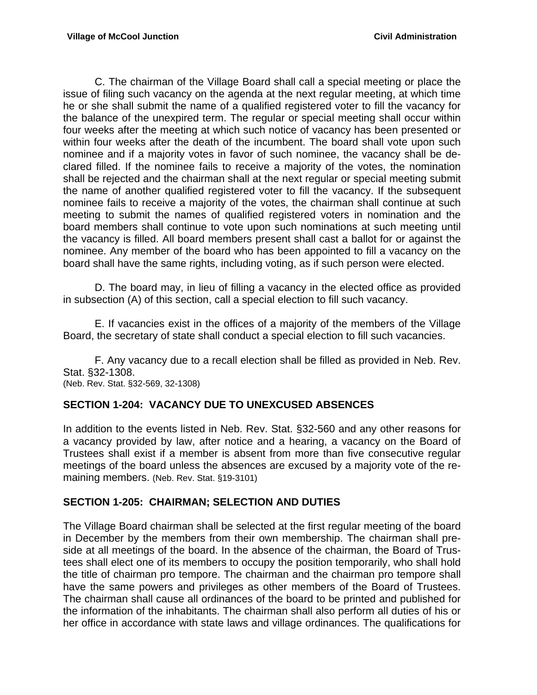C. The chairman of the Village Board shall call a special meeting or place the issue of filing such vacancy on the agenda at the next regular meeting, at which time he or she shall submit the name of a qualified registered voter to fill the vacancy for the balance of the unexpired term. The regular or special meeting shall occur within four weeks after the meeting at which such notice of vacancy has been presented or within four weeks after the death of the incumbent. The board shall vote upon such nominee and if a majority votes in favor of such nominee, the vacancy shall be declared filled. If the nominee fails to receive a majority of the votes, the nomination shall be rejected and the chairman shall at the next regular or special meeting submit the name of another qualified registered voter to fill the vacancy. If the subsequent nominee fails to receive a majority of the votes, the chairman shall continue at such meeting to submit the names of qualified registered voters in nomination and the board members shall continue to vote upon such nominations at such meeting until the vacancy is filled. All board members present shall cast a ballot for or against the nominee. Any member of the board who has been appointed to fill a vacancy on the board shall have the same rights, including voting, as if such person were elected.

 D. The board may, in lieu of filling a vacancy in the elected office as provided in subsection (A) of this section, call a special election to fill such vacancy.

 E. If vacancies exist in the offices of a majority of the members of the Village Board, the secretary of state shall conduct a special election to fill such vacancies.

 F. Any vacancy due to a recall election shall be filled as provided in Neb. Rev. Stat. §32-1308.

(Neb. Rev. Stat. §32-569, 32-1308)

#### **SECTION 1-204: VACANCY DUE TO UNEXCUSED ABSENCES**

In addition to the events listed in Neb. Rev. Stat. §32-560 and any other reasons for a vacancy provided by law, after notice and a hearing, a vacancy on the Board of Trustees shall exist if a member is absent from more than five consecutive regular meetings of the board unless the absences are excused by a majority vote of the remaining members. (Neb. Rev. Stat. §19-3101)

#### **SECTION 1-205: CHAIRMAN; SELECTION AND DUTIES**

The Village Board chairman shall be selected at the first regular meeting of the board in December by the members from their own membership. The chairman shall preside at all meetings of the board. In the absence of the chairman, the Board of Trustees shall elect one of its members to occupy the position temporarily, who shall hold the title of chairman pro tempore. The chairman and the chairman pro tempore shall have the same powers and privileges as other members of the Board of Trustees. The chairman shall cause all ordinances of the board to be printed and published for the information of the inhabitants. The chairman shall also perform all duties of his or her office in accordance with state laws and village ordinances. The qualifications for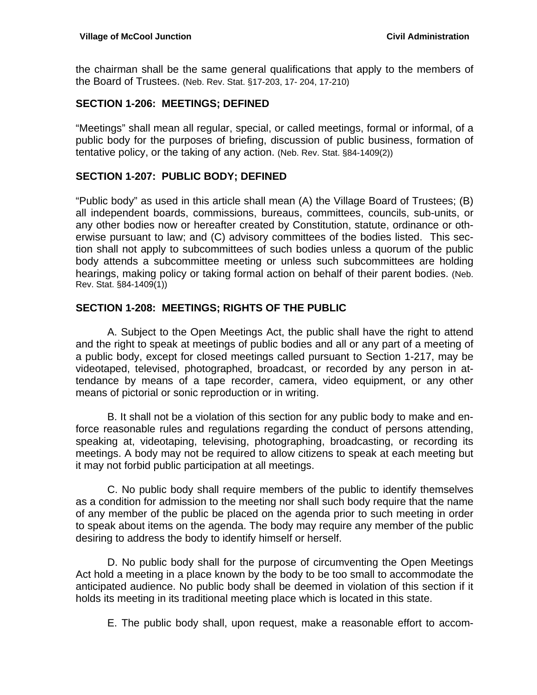the chairman shall be the same general qualifications that apply to the members of the Board of Trustees. (Neb. Rev. Stat. §17-203, 17- 204, 17-210)

#### **SECTION 1-206: MEETINGS; DEFINED**

"Meetings" shall mean all regular, special, or called meetings, formal or informal, of a public body for the purposes of briefing, discussion of public business, formation of tentative policy, or the taking of any action. (Neb. Rev. Stat. §84-1409(2))

#### **SECTION 1-207: PUBLIC BODY; DEFINED**

"Public body" as used in this article shall mean (A) the Village Board of Trustees; (B) all independent boards, commissions, bureaus, committees, councils, sub-units, or any other bodies now or hereafter created by Constitution, statute, ordinance or otherwise pursuant to law; and (C) advisory committees of the bodies listed. This section shall not apply to subcommittees of such bodies unless a quorum of the public body attends a subcommittee meeting or unless such subcommittees are holding hearings, making policy or taking formal action on behalf of their parent bodies. (Neb. Rev. Stat. §84-1409(1))

### **SECTION 1-208: MEETINGS; RIGHTS OF THE PUBLIC**

 A. Subject to the Open Meetings Act, the public shall have the right to attend and the right to speak at meetings of public bodies and all or any part of a meeting of a public body, except for closed meetings called pursuant to Section 1-217, may be videotaped, televised, photographed, broadcast, or recorded by any person in attendance by means of a tape recorder, camera, video equipment, or any other means of pictorial or sonic reproduction or in writing.

 B. It shall not be a violation of this section for any public body to make and enforce reasonable rules and regulations regarding the conduct of persons attending, speaking at, videotaping, televising, photographing, broadcasting, or recording its meetings. A body may not be required to allow citizens to speak at each meeting but it may not forbid public participation at all meetings.

 C. No public body shall require members of the public to identify themselves as a condition for admission to the meeting nor shall such body require that the name of any member of the public be placed on the agenda prior to such meeting in order to speak about items on the agenda. The body may require any member of the public desiring to address the body to identify himself or herself.

 D. No public body shall for the purpose of circumventing the Open Meetings Act hold a meeting in a place known by the body to be too small to accommodate the anticipated audience. No public body shall be deemed in violation of this section if it holds its meeting in its traditional meeting place which is located in this state.

E. The public body shall, upon request, make a reasonable effort to accom-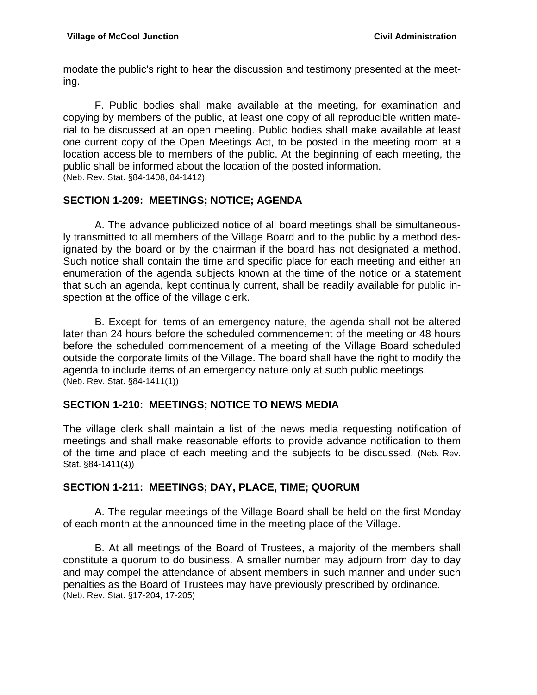modate the public's right to hear the discussion and testimony presented at the meeting.

 F. Public bodies shall make available at the meeting, for examination and copying by members of the public, at least one copy of all reproducible written material to be discussed at an open meeting. Public bodies shall make available at least one current copy of the Open Meetings Act, to be posted in the meeting room at a location accessible to members of the public. At the beginning of each meeting, the public shall be informed about the location of the posted information. (Neb. Rev. Stat. §84-1408, 84-1412)

## **SECTION 1-209: MEETINGS; NOTICE; AGENDA**

 A. The advance publicized notice of all board meetings shall be simultaneously transmitted to all members of the Village Board and to the public by a method designated by the board or by the chairman if the board has not designated a method. Such notice shall contain the time and specific place for each meeting and either an enumeration of the agenda subjects known at the time of the notice or a statement that such an agenda, kept continually current, shall be readily available for public inspection at the office of the village clerk.

 B. Except for items of an emergency nature, the agenda shall not be altered later than 24 hours before the scheduled commencement of the meeting or 48 hours before the scheduled commencement of a meeting of the Village Board scheduled outside the corporate limits of the Village. The board shall have the right to modify the agenda to include items of an emergency nature only at such public meetings. (Neb. Rev. Stat. §84-1411(1))

## **SECTION 1-210: MEETINGS; NOTICE TO NEWS MEDIA**

The village clerk shall maintain a list of the news media requesting notification of meetings and shall make reasonable efforts to provide advance notification to them of the time and place of each meeting and the subjects to be discussed. (Neb. Rev. Stat. §84-1411(4))

## **SECTION 1-211: MEETINGS; DAY, PLACE, TIME; QUORUM**

 A. The regular meetings of the Village Board shall be held on the first Monday of each month at the announced time in the meeting place of the Village.

 B. At all meetings of the Board of Trustees, a majority of the members shall constitute a quorum to do business. A smaller number may adjourn from day to day and may compel the attendance of absent members in such manner and under such penalties as the Board of Trustees may have previously prescribed by ordinance. (Neb. Rev. Stat. §17-204, 17-205)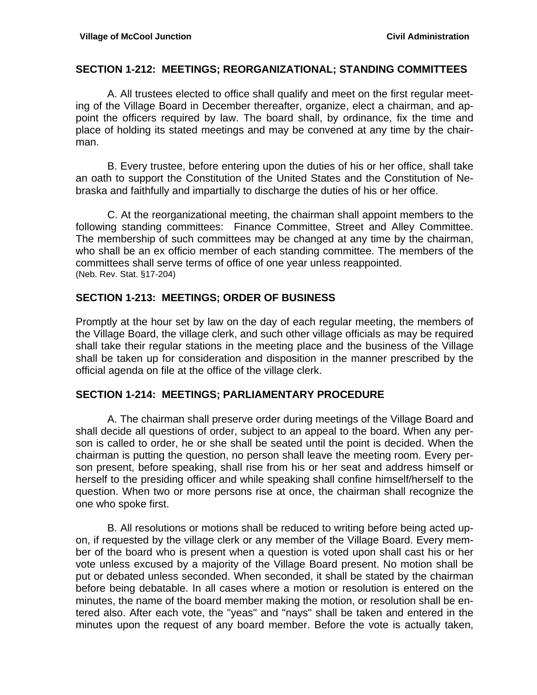#### **SECTION 1-212: MEETINGS; REORGANIZATIONAL; STANDING COMMITTEES**

 A. All trustees elected to office shall qualify and meet on the first regular meeting of the Village Board in December thereafter, organize, elect a chairman, and appoint the officers required by law. The board shall, by ordinance, fix the time and place of holding its stated meetings and may be convened at any time by the chairman.

 B. Every trustee, before entering upon the duties of his or her office, shall take an oath to support the Constitution of the United States and the Constitution of Nebraska and faithfully and impartially to discharge the duties of his or her office.

C. At the reorganizational meeting, the chairman shall appoint members to the following standing committees: Finance Committee, Street and Alley Committee. The membership of such committees may be changed at any time by the chairman, who shall be an ex officio member of each standing committee. The members of the committees shall serve terms of office of one year unless reappointed. (Neb. Rev. Stat. §17-204)

#### **SECTION 1-213: MEETINGS; ORDER OF BUSINESS**

Promptly at the hour set by law on the day of each regular meeting, the members of the Village Board, the village clerk, and such other village officials as may be required shall take their regular stations in the meeting place and the business of the Village shall be taken up for consideration and disposition in the manner prescribed by the official agenda on file at the office of the village clerk.

#### **SECTION 1-214: MEETINGS; PARLIAMENTARY PROCEDURE**

 A. The chairman shall preserve order during meetings of the Village Board and shall decide all questions of order, subject to an appeal to the board. When any person is called to order, he or she shall be seated until the point is decided. When the chairman is putting the question, no person shall leave the meeting room. Every person present, before speaking, shall rise from his or her seat and address himself or herself to the presiding officer and while speaking shall confine himself/herself to the question. When two or more persons rise at once, the chairman shall recognize the one who spoke first.

 B. All resolutions or motions shall be reduced to writing before being acted upon, if requested by the village clerk or any member of the Village Board. Every member of the board who is present when a question is voted upon shall cast his or her vote unless excused by a majority of the Village Board present. No motion shall be put or debated unless seconded. When seconded, it shall be stated by the chairman before being debatable. In all cases where a motion or resolution is entered on the minutes, the name of the board member making the motion, or resolution shall be entered also. After each vote, the "yeas" and "nays" shall be taken and entered in the minutes upon the request of any board member. Before the vote is actually taken,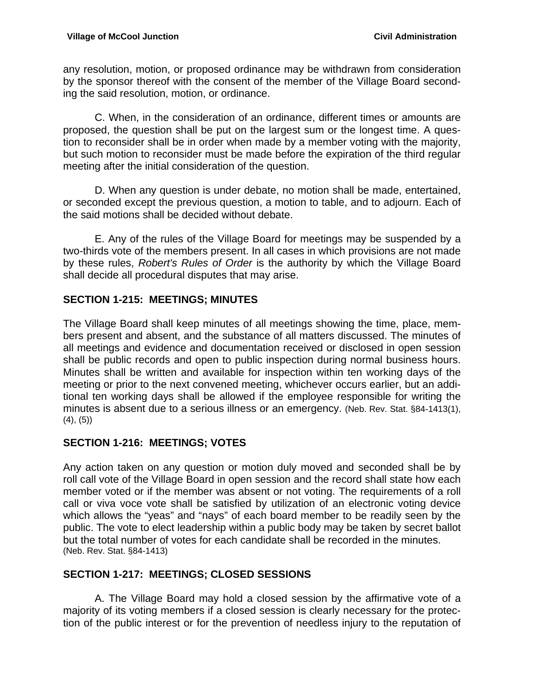any resolution, motion, or proposed ordinance may be withdrawn from consideration by the sponsor thereof with the consent of the member of the Village Board seconding the said resolution, motion, or ordinance.

 C. When, in the consideration of an ordinance, different times or amounts are proposed, the question shall be put on the largest sum or the longest time. A question to reconsider shall be in order when made by a member voting with the majority, but such motion to reconsider must be made before the expiration of the third regular meeting after the initial consideration of the question.

 D. When any question is under debate, no motion shall be made, entertained, or seconded except the previous question, a motion to table, and to adjourn. Each of the said motions shall be decided without debate.

 E. Any of the rules of the Village Board for meetings may be suspended by a two-thirds vote of the members present. In all cases in which provisions are not made by these rules, *Robert's Rules of Order* is the authority by which the Village Board shall decide all procedural disputes that may arise.

## **SECTION 1-215: MEETINGS; MINUTES**

The Village Board shall keep minutes of all meetings showing the time, place, members present and absent, and the substance of all matters discussed. The minutes of all meetings and evidence and documentation received or disclosed in open session shall be public records and open to public inspection during normal business hours. Minutes shall be written and available for inspection within ten working days of the meeting or prior to the next convened meeting, whichever occurs earlier, but an additional ten working days shall be allowed if the employee responsible for writing the minutes is absent due to a serious illness or an emergency. (Neb. Rev. Stat. §84-1413(1), (4), (5))

## **SECTION 1-216: MEETINGS; VOTES**

Any action taken on any question or motion duly moved and seconded shall be by roll call vote of the Village Board in open session and the record shall state how each member voted or if the member was absent or not voting. The requirements of a roll call or viva voce vote shall be satisfied by utilization of an electronic voting device which allows the "yeas" and "nays" of each board member to be readily seen by the public. The vote to elect leadership within a public body may be taken by secret ballot but the total number of votes for each candidate shall be recorded in the minutes. (Neb. Rev. Stat. §84-1413)

## **SECTION 1-217: MEETINGS; CLOSED SESSIONS**

 A. The Village Board may hold a closed session by the affirmative vote of a majority of its voting members if a closed session is clearly necessary for the protection of the public interest or for the prevention of needless injury to the reputation of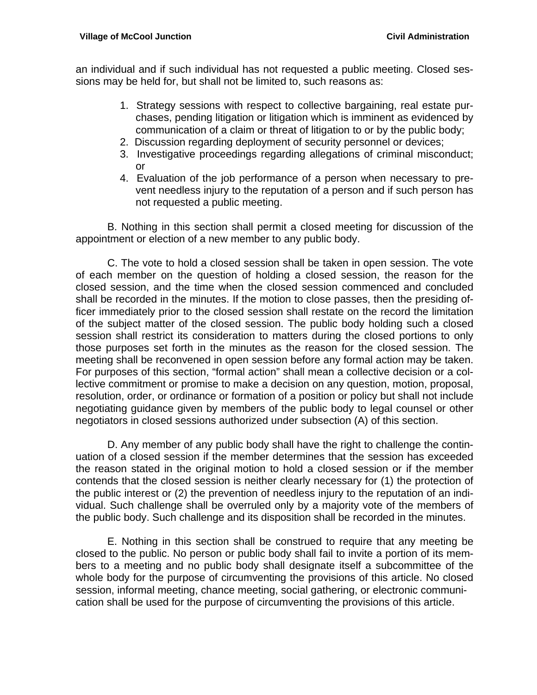an individual and if such individual has not requested a public meeting. Closed sessions may be held for, but shall not be limited to, such reasons as:

- 1. Strategy sessions with respect to collective bargaining, real estate purchases, pending litigation or litigation which is imminent as evidenced by communication of a claim or threat of litigation to or by the public body;
- 2. Discussion regarding deployment of security personnel or devices;
- 3. Investigative proceedings regarding allegations of criminal misconduct; or
- 4. Evaluation of the job performance of a person when necessary to prevent needless injury to the reputation of a person and if such person has not requested a public meeting.

 B. Nothing in this section shall permit a closed meeting for discussion of the appointment or election of a new member to any public body.

 C. The vote to hold a closed session shall be taken in open session. The vote of each member on the question of holding a closed session, the reason for the closed session, and the time when the closed session commenced and concluded shall be recorded in the minutes. If the motion to close passes, then the presiding officer immediately prior to the closed session shall restate on the record the limitation of the subject matter of the closed session. The public body holding such a closed session shall restrict its consideration to matters during the closed portions to only those purposes set forth in the minutes as the reason for the closed session. The meeting shall be reconvened in open session before any formal action may be taken. For purposes of this section, "formal action" shall mean a collective decision or a collective commitment or promise to make a decision on any question, motion, proposal, resolution, order, or ordinance or formation of a position or policy but shall not include negotiating guidance given by members of the public body to legal counsel or other negotiators in closed sessions authorized under subsection (A) of this section.

 D. Any member of any public body shall have the right to challenge the continuation of a closed session if the member determines that the session has exceeded the reason stated in the original motion to hold a closed session or if the member contends that the closed session is neither clearly necessary for (1) the protection of the public interest or (2) the prevention of needless injury to the reputation of an individual. Such challenge shall be overruled only by a majority vote of the members of the public body. Such challenge and its disposition shall be recorded in the minutes.

 E. Nothing in this section shall be construed to require that any meeting be closed to the public. No person or public body shall fail to invite a portion of its members to a meeting and no public body shall designate itself a subcommittee of the whole body for the purpose of circumventing the provisions of this article. No closed session, informal meeting, chance meeting, social gathering, or electronic communication shall be used for the purpose of circumventing the provisions of this article.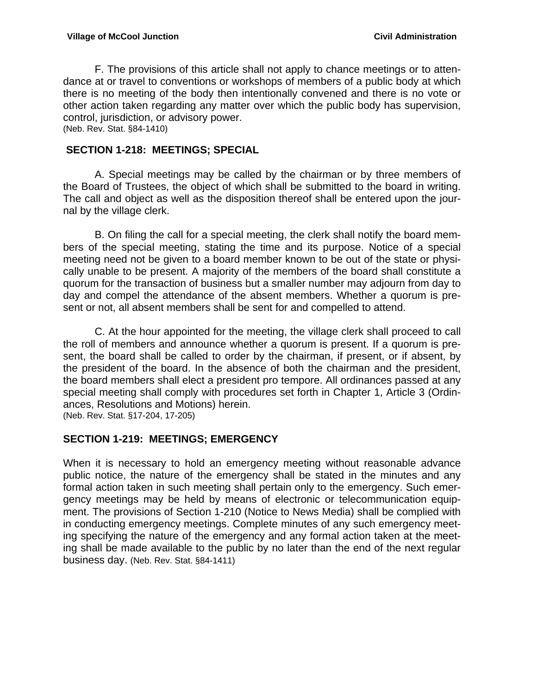F. The provisions of this article shall not apply to chance meetings or to attendance at or travel to conventions or workshops of members of a public body at which there is no meeting of the body then intentionally convened and there is no vote or other action taken regarding any matter over which the public body has supervision, control, jurisdiction, or advisory power. (Neb. Rev. Stat. §84-1410)

 **SECTION 1-218: MEETINGS; SPECIAL** 

 A. Special meetings may be called by the chairman or by three members of the Board of Trustees, the object of which shall be submitted to the board in writing. The call and object as well as the disposition thereof shall be entered upon the journal by the village clerk.

 B. On filing the call for a special meeting, the clerk shall notify the board members of the special meeting, stating the time and its purpose. Notice of a special meeting need not be given to a board member known to be out of the state or physically unable to be present. A majority of the members of the board shall constitute a quorum for the transaction of business but a smaller number may adjourn from day to day and compel the attendance of the absent members. Whether a quorum is present or not, all absent members shall be sent for and compelled to attend.

 C. At the hour appointed for the meeting, the village clerk shall proceed to call the roll of members and announce whether a quorum is present. If a quorum is present, the board shall be called to order by the chairman, if present, or if absent, by the president of the board. In the absence of both the chairman and the president, the board members shall elect a president pro tempore. All ordinances passed at any special meeting shall comply with procedures set forth in Chapter 1, Article 3 (Ordinances, Resolutions and Motions) herein.

(Neb. Rev. Stat. §17-204, 17-205)

#### **SECTION 1-219: MEETINGS; EMERGENCY**

When it is necessary to hold an emergency meeting without reasonable advance public notice, the nature of the emergency shall be stated in the minutes and any formal action taken in such meeting shall pertain only to the emergency. Such emergency meetings may be held by means of electronic or telecommunication equipment. The provisions of Section 1-210 (Notice to News Media) shall be complied with in conducting emergency meetings. Complete minutes of any such emergency meeting specifying the nature of the emergency and any formal action taken at the meeting shall be made available to the public by no later than the end of the next regular business day. (Neb. Rev. Stat. §84-1411)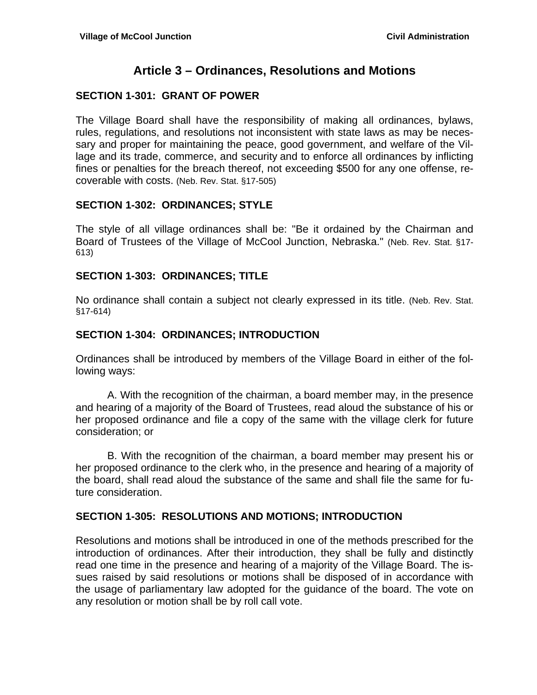## **Article 3 – Ordinances, Resolutions and Motions**

## **SECTION 1-301: GRANT OF POWER**

The Village Board shall have the responsibility of making all ordinances, bylaws, rules, regulations, and resolutions not inconsistent with state laws as may be necessary and proper for maintaining the peace, good government, and welfare of the Village and its trade, commerce, and security and to enforce all ordinances by inflicting fines or penalties for the breach thereof, not exceeding \$500 for any one offense, recoverable with costs. (Neb. Rev. Stat. §17-505)

#### **SECTION 1-302: ORDINANCES; STYLE**

The style of all village ordinances shall be: "Be it ordained by the Chairman and Board of Trustees of the Village of McCool Junction, Nebraska." (Neb. Rev. Stat. §17- 613)

### **SECTION 1-303: ORDINANCES; TITLE**

No ordinance shall contain a subject not clearly expressed in its title. (Neb. Rev. Stat. §17-614)

### **SECTION 1-304: ORDINANCES; INTRODUCTION**

Ordinances shall be introduced by members of the Village Board in either of the following ways:

 A. With the recognition of the chairman, a board member may, in the presence and hearing of a majority of the Board of Trustees, read aloud the substance of his or her proposed ordinance and file a copy of the same with the village clerk for future consideration; or

 B. With the recognition of the chairman, a board member may present his or her proposed ordinance to the clerk who, in the presence and hearing of a majority of the board, shall read aloud the substance of the same and shall file the same for future consideration.

## **SECTION 1-305: RESOLUTIONS AND MOTIONS; INTRODUCTION**

Resolutions and motions shall be introduced in one of the methods prescribed for the introduction of ordinances. After their introduction, they shall be fully and distinctly read one time in the presence and hearing of a majority of the Village Board. The issues raised by said resolutions or motions shall be disposed of in accordance with the usage of parliamentary law adopted for the guidance of the board. The vote on any resolution or motion shall be by roll call vote.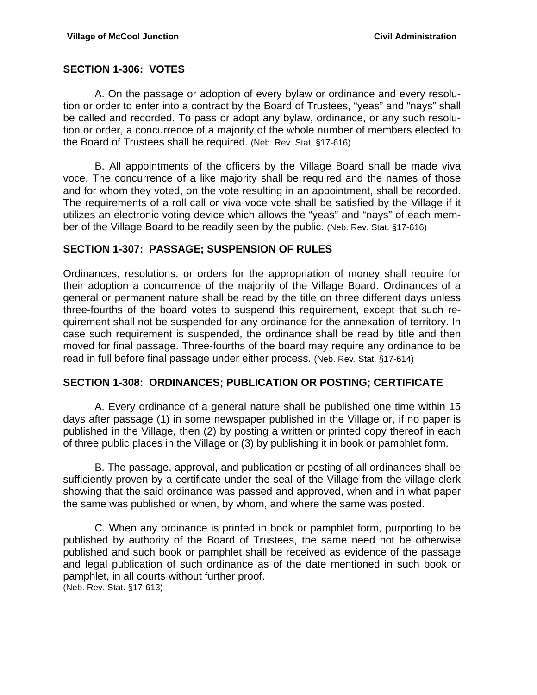#### **SECTION 1-306: VOTES**

 A. On the passage or adoption of every bylaw or ordinance and every resolution or order to enter into a contract by the Board of Trustees, "yeas" and "nays" shall be called and recorded. To pass or adopt any bylaw, ordinance, or any such resolution or order, a concurrence of a majority of the whole number of members elected to the Board of Trustees shall be required. (Neb. Rev. Stat. §17-616)

 B. All appointments of the officers by the Village Board shall be made viva voce. The concurrence of a like majority shall be required and the names of those and for whom they voted, on the vote resulting in an appointment, shall be recorded. The requirements of a roll call or viva voce vote shall be satisfied by the Village if it utilizes an electronic voting device which allows the "yeas" and "nays" of each member of the Village Board to be readily seen by the public. (Neb. Rev. Stat. §17-616)

#### **SECTION 1-307: PASSAGE; SUSPENSION OF RULES**

Ordinances, resolutions, or orders for the appropriation of money shall require for their adoption a concurrence of the majority of the Village Board. Ordinances of a general or permanent nature shall be read by the title on three different days unless three-fourths of the board votes to suspend this requirement, except that such requirement shall not be suspended for any ordinance for the annexation of territory. In case such requirement is suspended, the ordinance shall be read by title and then moved for final passage. Three-fourths of the board may require any ordinance to be read in full before final passage under either process. (Neb. Rev. Stat. §17-614)

#### **SECTION 1-308: ORDINANCES; PUBLICATION OR POSTING; CERTIFICATE**

 A. Every ordinance of a general nature shall be published one time within 15 days after passage (1) in some newspaper published in the Village or, if no paper is published in the Village, then (2) by posting a written or printed copy thereof in each of three public places in the Village or (3) by publishing it in book or pamphlet form.

 B. The passage, approval, and publication or posting of all ordinances shall be sufficiently proven by a certificate under the seal of the Village from the village clerk showing that the said ordinance was passed and approved, when and in what paper the same was published or when, by whom, and where the same was posted.

 C. When any ordinance is printed in book or pamphlet form, purporting to be published by authority of the Board of Trustees, the same need not be otherwise published and such book or pamphlet shall be received as evidence of the passage and legal publication of such ordinance as of the date mentioned in such book or pamphlet, in all courts without further proof. (Neb. Rev. Stat. §17-613)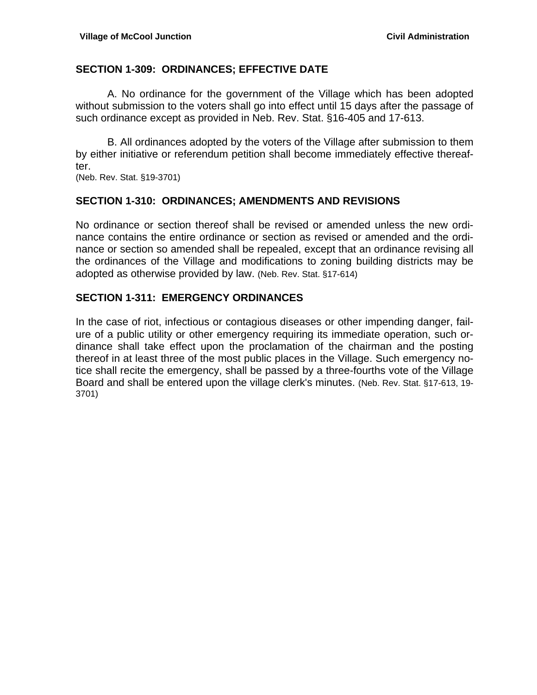#### **SECTION 1-309: ORDINANCES; EFFECTIVE DATE**

A. No ordinance for the government of the Village which has been adopted without submission to the voters shall go into effect until 15 days after the passage of such ordinance except as provided in Neb. Rev. Stat. §16-405 and 17-613.

B. All ordinances adopted by the voters of the Village after submission to them by either initiative or referendum petition shall become immediately effective thereafter.

(Neb. Rev. Stat. §19-3701)

#### **SECTION 1-310: ORDINANCES; AMENDMENTS AND REVISIONS**

No ordinance or section thereof shall be revised or amended unless the new ordinance contains the entire ordinance or section as revised or amended and the ordinance or section so amended shall be repealed, except that an ordinance revising all the ordinances of the Village and modifications to zoning building districts may be adopted as otherwise provided by law. (Neb. Rev. Stat. §17-614)

#### **SECTION 1-311: EMERGENCY ORDINANCES**

In the case of riot, infectious or contagious diseases or other impending danger, failure of a public utility or other emergency requiring its immediate operation, such ordinance shall take effect upon the proclamation of the chairman and the posting thereof in at least three of the most public places in the Village. Such emergency notice shall recite the emergency, shall be passed by a three-fourths vote of the Village Board and shall be entered upon the village clerk's minutes. (Neb. Rev. Stat. §17-613, 19- 3701)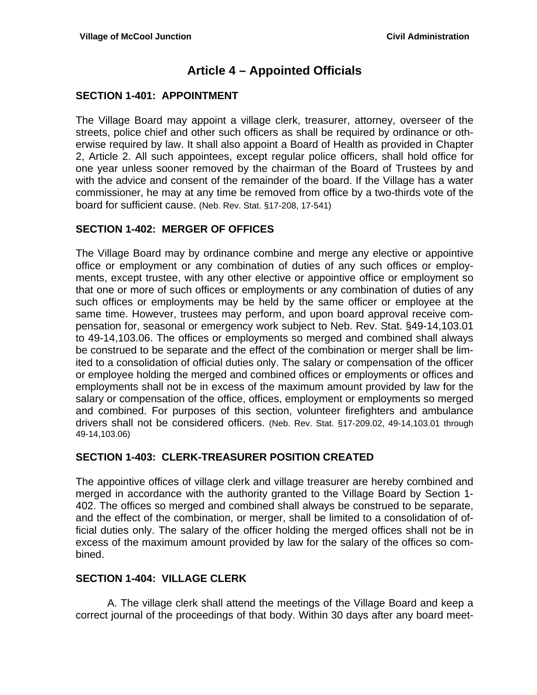## **Article 4 – Appointed Officials**

### **SECTION 1-401: APPOINTMENT**

The Village Board may appoint a village clerk, treasurer, attorney, overseer of the streets, police chief and other such officers as shall be required by ordinance or otherwise required by law. It shall also appoint a Board of Health as provided in Chapter 2, Article 2. All such appointees, except regular police officers, shall hold office for one year unless sooner removed by the chairman of the Board of Trustees by and with the advice and consent of the remainder of the board. If the Village has a water commissioner, he may at any time be removed from office by a two-thirds vote of the board for sufficient cause. (Neb. Rev. Stat. §17-208, 17-541)

### **SECTION 1-402: MERGER OF OFFICES**

The Village Board may by ordinance combine and merge any elective or appointive office or employment or any combination of duties of any such offices or employments, except trustee, with any other elective or appointive office or employment so that one or more of such offices or employments or any combination of duties of any such offices or employments may be held by the same officer or employee at the same time. However, trustees may perform, and upon board approval receive compensation for, seasonal or emergency work subject to Neb. Rev. Stat. §49-14,103.01 to 49-14,103.06. The offices or employments so merged and combined shall always be construed to be separate and the effect of the combination or merger shall be limited to a consolidation of official duties only. The salary or compensation of the officer or employee holding the merged and combined offices or employments or offices and employments shall not be in excess of the maximum amount provided by law for the salary or compensation of the office, offices, employment or employments so merged and combined. For purposes of this section, volunteer firefighters and ambulance drivers shall not be considered officers. (Neb. Rev. Stat. §17-209.02, 49-14,103.01 through 49-14,103.06)

#### **SECTION 1-403: CLERK-TREASURER POSITION CREATED**

The appointive offices of village clerk and village treasurer are hereby combined and merged in accordance with the authority granted to the Village Board by Section 1- 402. The offices so merged and combined shall always be construed to be separate, and the effect of the combination, or merger, shall be limited to a consolidation of official duties only. The salary of the officer holding the merged offices shall not be in excess of the maximum amount provided by law for the salary of the offices so combined.

#### **SECTION 1-404: VILLAGE CLERK**

A. The village clerk shall attend the meetings of the Village Board and keep a correct journal of the proceedings of that body. Within 30 days after any board meet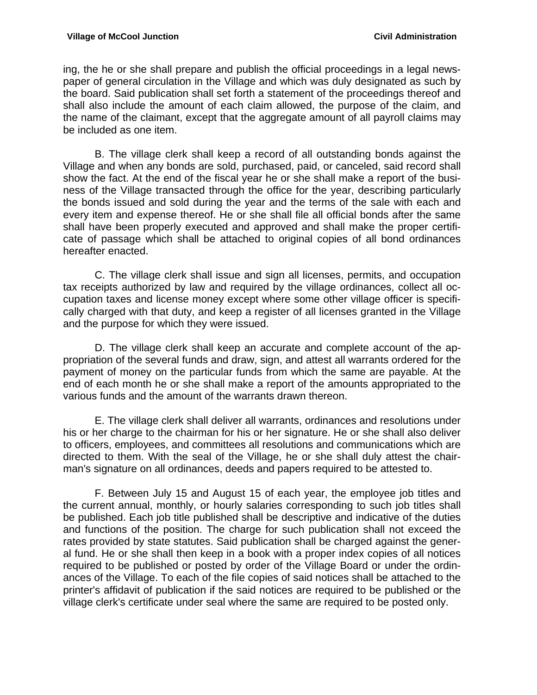ing, the he or she shall prepare and publish the official proceedings in a legal newspaper of general circulation in the Village and which was duly designated as such by the board. Said publication shall set forth a statement of the proceedings thereof and shall also include the amount of each claim allowed, the purpose of the claim, and the name of the claimant, except that the aggregate amount of all payroll claims may be included as one item.

B. The village clerk shall keep a record of all outstanding bonds against the Village and when any bonds are sold, purchased, paid, or canceled, said record shall show the fact. At the end of the fiscal year he or she shall make a report of the business of the Village transacted through the office for the year, describing particularly the bonds issued and sold during the year and the terms of the sale with each and every item and expense thereof. He or she shall file all official bonds after the same shall have been properly executed and approved and shall make the proper certificate of passage which shall be attached to original copies of all bond ordinances hereafter enacted.

 C. The village clerk shall issue and sign all licenses, permits, and occupation tax receipts authorized by law and required by the village ordinances, collect all occupation taxes and license money except where some other village officer is specifically charged with that duty, and keep a register of all licenses granted in the Village and the purpose for which they were issued.

 D. The village clerk shall keep an accurate and complete account of the appropriation of the several funds and draw, sign, and attest all warrants ordered for the payment of money on the particular funds from which the same are payable. At the end of each month he or she shall make a report of the amounts appropriated to the various funds and the amount of the warrants drawn thereon.

 E. The village clerk shall deliver all warrants, ordinances and resolutions under his or her charge to the chairman for his or her signature. He or she shall also deliver to officers, employees, and committees all resolutions and communications which are directed to them. With the seal of the Village, he or she shall duly attest the chairman's signature on all ordinances, deeds and papers required to be attested to.

 F. Between July 15 and August 15 of each year, the employee job titles and the current annual, monthly, or hourly salaries corresponding to such job titles shall be published. Each job title published shall be descriptive and indicative of the duties and functions of the position. The charge for such publication shall not exceed the rates provided by state statutes. Said publication shall be charged against the general fund. He or she shall then keep in a book with a proper index copies of all notices required to be published or posted by order of the Village Board or under the ordinances of the Village. To each of the file copies of said notices shall be attached to the printer's affidavit of publication if the said notices are required to be published or the village clerk's certificate under seal where the same are required to be posted only.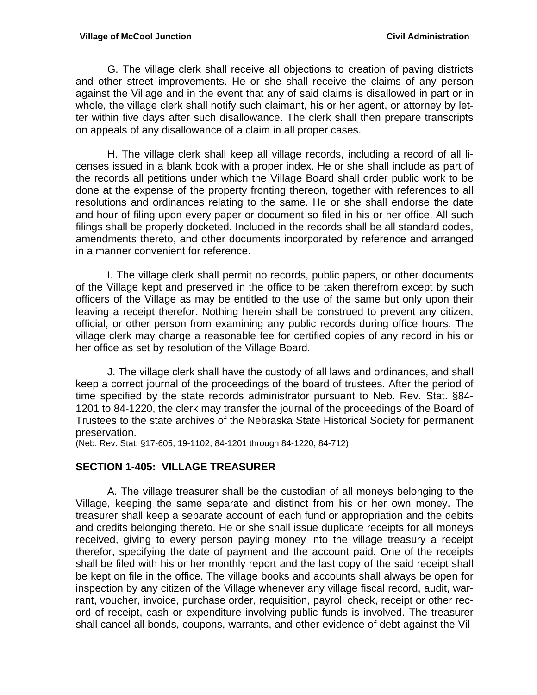G. The village clerk shall receive all objections to creation of paving districts and other street improvements. He or she shall receive the claims of any person against the Village and in the event that any of said claims is disallowed in part or in whole, the village clerk shall notify such claimant, his or her agent, or attorney by letter within five days after such disallowance. The clerk shall then prepare transcripts on appeals of any disallowance of a claim in all proper cases.

 H. The village clerk shall keep all village records, including a record of all licenses issued in a blank book with a proper index. He or she shall include as part of the records all petitions under which the Village Board shall order public work to be done at the expense of the property fronting thereon, together with references to all resolutions and ordinances relating to the same. He or she shall endorse the date and hour of filing upon every paper or document so filed in his or her office. All such filings shall be properly docketed. Included in the records shall be all standard codes, amendments thereto, and other documents incorporated by reference and arranged in a manner convenient for reference.

I. The village clerk shall permit no records, public papers, or other documents of the Village kept and preserved in the office to be taken therefrom except by such officers of the Village as may be entitled to the use of the same but only upon their leaving a receipt therefor. Nothing herein shall be construed to prevent any citizen, official, or other person from examining any public records during office hours. The village clerk may charge a reasonable fee for certified copies of any record in his or her office as set by resolution of the Village Board.

J. The village clerk shall have the custody of all laws and ordinances, and shall keep a correct journal of the proceedings of the board of trustees. After the period of time specified by the state records administrator pursuant to Neb. Rev. Stat. §84- 1201 to 84-1220, the clerk may transfer the journal of the proceedings of the Board of Trustees to the state archives of the Nebraska State Historical Society for permanent preservation.

(Neb. Rev. Stat. §17-605, 19-1102, 84-1201 through 84-1220, 84-712)

#### **SECTION 1-405: VILLAGE TREASURER**

A. The village treasurer shall be the custodian of all moneys belonging to the Village, keeping the same separate and distinct from his or her own money. The treasurer shall keep a separate account of each fund or appropriation and the debits and credits belonging thereto. He or she shall issue duplicate receipts for all moneys received, giving to every person paying money into the village treasury a receipt therefor, specifying the date of payment and the account paid. One of the receipts shall be filed with his or her monthly report and the last copy of the said receipt shall be kept on file in the office. The village books and accounts shall always be open for inspection by any citizen of the Village whenever any village fiscal record, audit, warrant, voucher, invoice, purchase order, requisition, payroll check, receipt or other record of receipt, cash or expenditure involving public funds is involved. The treasurer shall cancel all bonds, coupons, warrants, and other evidence of debt against the Vil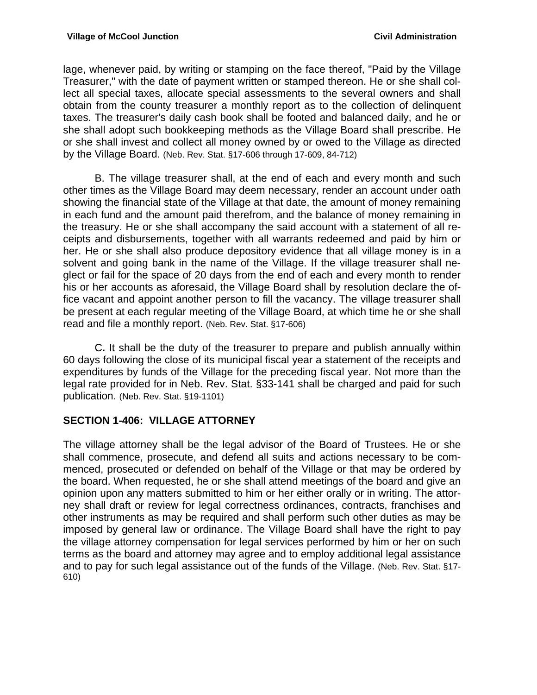lage, whenever paid, by writing or stamping on the face thereof, "Paid by the Village Treasurer," with the date of payment written or stamped thereon. He or she shall collect all special taxes, allocate special assessments to the several owners and shall obtain from the county treasurer a monthly report as to the collection of delinquent taxes. The treasurer's daily cash book shall be footed and balanced daily, and he or she shall adopt such bookkeeping methods as the Village Board shall prescribe. He or she shall invest and collect all money owned by or owed to the Village as directed by the Village Board. (Neb. Rev. Stat. §17-606 through 17-609, 84-712)

B. The village treasurer shall, at the end of each and every month and such other times as the Village Board may deem necessary, render an account under oath showing the financial state of the Village at that date, the amount of money remaining in each fund and the amount paid therefrom, and the balance of money remaining in the treasury. He or she shall accompany the said account with a statement of all receipts and disbursements, together with all warrants redeemed and paid by him or her. He or she shall also produce depository evidence that all village money is in a solvent and going bank in the name of the Village. If the village treasurer shall neglect or fail for the space of 20 days from the end of each and every month to render his or her accounts as aforesaid, the Village Board shall by resolution declare the office vacant and appoint another person to fill the vacancy. The village treasurer shall be present at each regular meeting of the Village Board, at which time he or she shall read and file a monthly report. (Neb. Rev. Stat. §17-606)

C**.** It shall be the duty of the treasurer to prepare and publish annually within 60 days following the close of its municipal fiscal year a statement of the receipts and expenditures by funds of the Village for the preceding fiscal year. Not more than the legal rate provided for in Neb. Rev. Stat. §33-141 shall be charged and paid for such publication. (Neb. Rev. Stat. §19-1101)

#### **SECTION 1-406: VILLAGE ATTORNEY**

The village attorney shall be the legal advisor of the Board of Trustees. He or she shall commence, prosecute, and defend all suits and actions necessary to be commenced, prosecuted or defended on behalf of the Village or that may be ordered by the board. When requested, he or she shall attend meetings of the board and give an opinion upon any matters submitted to him or her either orally or in writing. The attorney shall draft or review for legal correctness ordinances, contracts, franchises and other instruments as may be required and shall perform such other duties as may be imposed by general law or ordinance. The Village Board shall have the right to pay the village attorney compensation for legal services performed by him or her on such terms as the board and attorney may agree and to employ additional legal assistance and to pay for such legal assistance out of the funds of the Village. (Neb. Rev. Stat. §17- 610)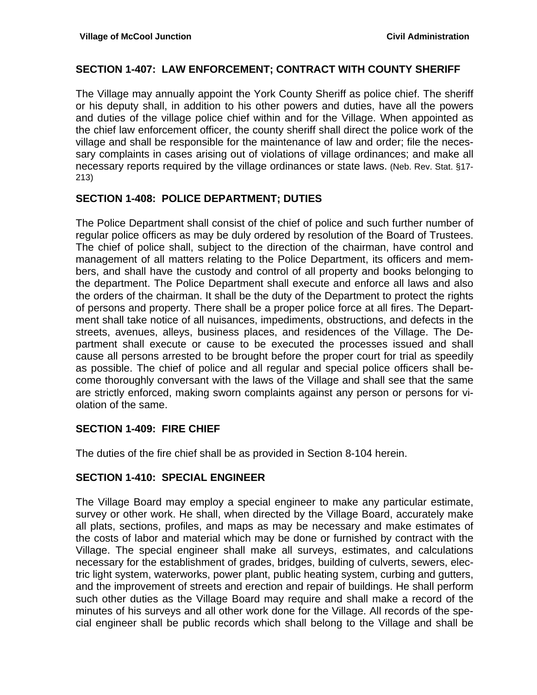### **SECTION 1-407: LAW ENFORCEMENT; CONTRACT WITH COUNTY SHERIFF**

The Village may annually appoint the York County Sheriff as police chief. The sheriff or his deputy shall, in addition to his other powers and duties, have all the powers and duties of the village police chief within and for the Village. When appointed as the chief law enforcement officer, the county sheriff shall direct the police work of the village and shall be responsible for the maintenance of law and order; file the necessary complaints in cases arising out of violations of village ordinances; and make all necessary reports required by the village ordinances or state laws. (Neb. Rev. Stat. §17- 213)

### **SECTION 1-408: POLICE DEPARTMENT; DUTIES**

The Police Department shall consist of the chief of police and such further number of regular police officers as may be duly ordered by resolution of the Board of Trustees. The chief of police shall, subject to the direction of the chairman, have control and management of all matters relating to the Police Department, its officers and members, and shall have the custody and control of all property and books belonging to the department. The Police Department shall execute and enforce all laws and also the orders of the chairman. It shall be the duty of the Department to protect the rights of persons and property. There shall be a proper police force at all fires. The Department shall take notice of all nuisances, impediments, obstructions, and defects in the streets, avenues, alleys, business places, and residences of the Village. The Department shall execute or cause to be executed the processes issued and shall cause all persons arrested to be brought before the proper court for trial as speedily as possible. The chief of police and all regular and special police officers shall become thoroughly conversant with the laws of the Village and shall see that the same are strictly enforced, making sworn complaints against any person or persons for violation of the same.

## **SECTION 1-409: FIRE CHIEF**

The duties of the fire chief shall be as provided in Section 8-104 herein.

#### **SECTION 1-410: SPECIAL ENGINEER**

The Village Board may employ a special engineer to make any particular estimate, survey or other work. He shall, when directed by the Village Board, accurately make all plats, sections, profiles, and maps as may be necessary and make estimates of the costs of labor and material which may be done or furnished by contract with the Village. The special engineer shall make all surveys, estimates, and calculations necessary for the establishment of grades, bridges, building of culverts, sewers, electric light system, waterworks, power plant, public heating system, curbing and gutters, and the improvement of streets and erection and repair of buildings. He shall perform such other duties as the Village Board may require and shall make a record of the minutes of his surveys and all other work done for the Village. All records of the special engineer shall be public records which shall belong to the Village and shall be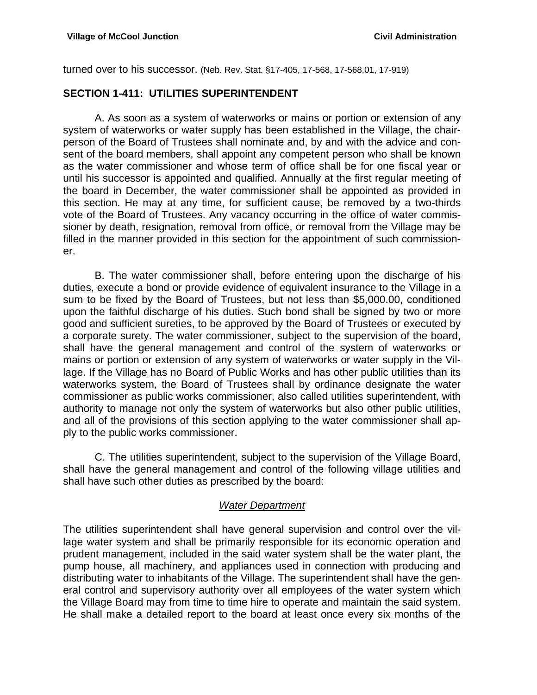turned over to his successor. (Neb. Rev. Stat. §17-405, 17-568, 17-568.01, 17-919)

### **SECTION 1-411: UTILITIES SUPERINTENDENT**

A. As soon as a system of waterworks or mains or portion or extension of any system of waterworks or water supply has been established in the Village, the chairperson of the Board of Trustees shall nominate and, by and with the advice and consent of the board members, shall appoint any competent person who shall be known as the water commissioner and whose term of office shall be for one fiscal year or until his successor is appointed and qualified. Annually at the first regular meeting of the board in December, the water commissioner shall be appointed as provided in this section. He may at any time, for sufficient cause, be removed by a two-thirds vote of the Board of Trustees. Any vacancy occurring in the office of water commissioner by death, resignation, removal from office, or removal from the Village may be filled in the manner provided in this section for the appointment of such commissioner.

B. The water commissioner shall, before entering upon the discharge of his duties, execute a bond or provide evidence of equivalent insurance to the Village in a sum to be fixed by the Board of Trustees, but not less than \$5,000.00, conditioned upon the faithful discharge of his duties. Such bond shall be signed by two or more good and sufficient sureties, to be approved by the Board of Trustees or executed by a corporate surety. The water commissioner, subject to the supervision of the board, shall have the general management and control of the system of waterworks or mains or portion or extension of any system of waterworks or water supply in the Village. If the Village has no Board of Public Works and has other public utilities than its waterworks system, the Board of Trustees shall by ordinance designate the water commissioner as public works commissioner, also called utilities superintendent, with authority to manage not only the system of waterworks but also other public utilities, and all of the provisions of this section applying to the water commissioner shall apply to the public works commissioner.

C. The utilities superintendent, subject to the supervision of the Village Board, shall have the general management and control of the following village utilities and shall have such other duties as prescribed by the board:

#### *Water Department*

The utilities superintendent shall have general supervision and control over the village water system and shall be primarily responsible for its economic operation and prudent management, included in the said water system shall be the water plant, the pump house, all machinery, and appliances used in connection with producing and distributing water to inhabitants of the Village. The superintendent shall have the general control and supervisory authority over all employees of the water system which the Village Board may from time to time hire to operate and maintain the said system. He shall make a detailed report to the board at least once every six months of the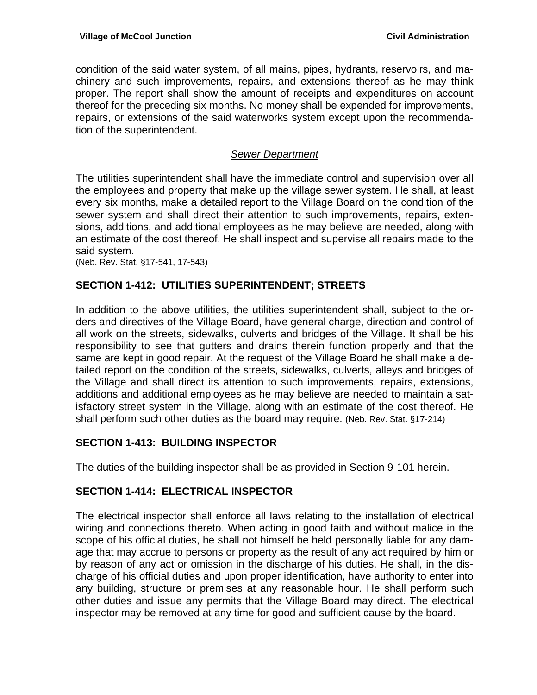condition of the said water system, of all mains, pipes, hydrants, reservoirs, and machinery and such improvements, repairs, and extensions thereof as he may think proper. The report shall show the amount of receipts and expenditures on account thereof for the preceding six months. No money shall be expended for improvements, repairs, or extensions of the said waterworks system except upon the recommendation of the superintendent.

### *Sewer Department*

The utilities superintendent shall have the immediate control and supervision over all the employees and property that make up the village sewer system. He shall, at least every six months, make a detailed report to the Village Board on the condition of the sewer system and shall direct their attention to such improvements, repairs, extensions, additions, and additional employees as he may believe are needed, along with an estimate of the cost thereof. He shall inspect and supervise all repairs made to the said system.

(Neb. Rev. Stat. §17-541, 17-543)

## **SECTION 1-412: UTILITIES SUPERINTENDENT; STREETS**

In addition to the above utilities, the utilities superintendent shall, subject to the orders and directives of the Village Board, have general charge, direction and control of all work on the streets, sidewalks, culverts and bridges of the Village. It shall be his responsibility to see that gutters and drains therein function properly and that the same are kept in good repair. At the request of the Village Board he shall make a detailed report on the condition of the streets, sidewalks, culverts, alleys and bridges of the Village and shall direct its attention to such improvements, repairs, extensions, additions and additional employees as he may believe are needed to maintain a satisfactory street system in the Village, along with an estimate of the cost thereof. He shall perform such other duties as the board may require. (Neb. Rev. Stat. §17-214)

#### **SECTION 1-413: BUILDING INSPECTOR**

The duties of the building inspector shall be as provided in Section 9-101 herein.

#### **SECTION 1-414: ELECTRICAL INSPECTOR**

The electrical inspector shall enforce all laws relating to the installation of electrical wiring and connections thereto. When acting in good faith and without malice in the scope of his official duties, he shall not himself be held personally liable for any damage that may accrue to persons or property as the result of any act required by him or by reason of any act or omission in the discharge of his duties. He shall, in the discharge of his official duties and upon proper identification, have authority to enter into any building, structure or premises at any reasonable hour. He shall perform such other duties and issue any permits that the Village Board may direct. The electrical inspector may be removed at any time for good and sufficient cause by the board.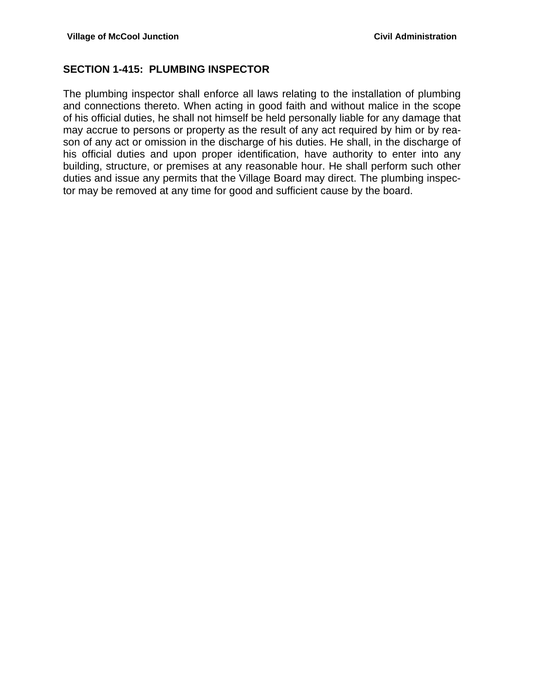### **SECTION 1-415: PLUMBING INSPECTOR**

The plumbing inspector shall enforce all laws relating to the installation of plumbing and connections thereto. When acting in good faith and without malice in the scope of his official duties, he shall not himself be held personally liable for any damage that may accrue to persons or property as the result of any act required by him or by reason of any act or omission in the discharge of his duties. He shall, in the discharge of his official duties and upon proper identification, have authority to enter into any building, structure, or premises at any reasonable hour. He shall perform such other duties and issue any permits that the Village Board may direct. The plumbing inspector may be removed at any time for good and sufficient cause by the board.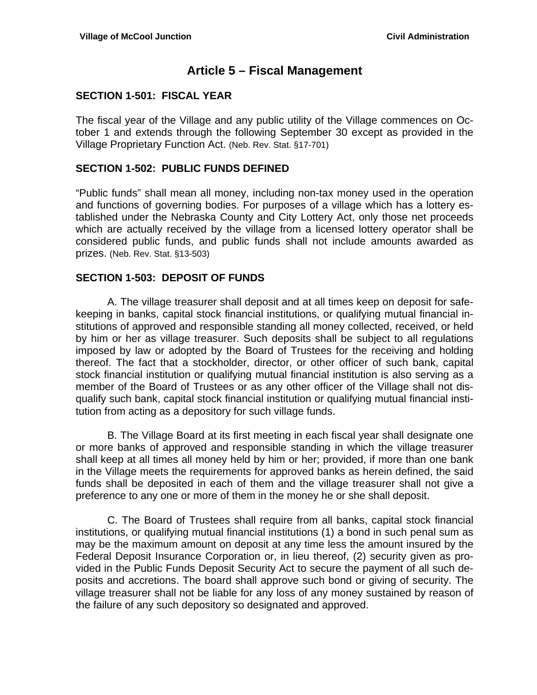## **Article 5 – Fiscal Management**

### **SECTION 1-501: FISCAL YEAR**

The fiscal year of the Village and any public utility of the Village commences on October 1 and extends through the following September 30 except as provided in the Village Proprietary Function Act. (Neb. Rev. Stat. §17-701)

#### **SECTION 1-502: PUBLIC FUNDS DEFINED**

"Public funds" shall mean all money, including non-tax money used in the operation and functions of governing bodies. For purposes of a village which has a lottery established under the Nebraska County and City Lottery Act, only those net proceeds which are actually received by the village from a licensed lottery operator shall be considered public funds, and public funds shall not include amounts awarded as prizes. (Neb. Rev. Stat. §13-503)

#### **SECTION 1-503: DEPOSIT OF FUNDS**

 A. The village treasurer shall deposit and at all times keep on deposit for safekeeping in banks, capital stock financial institutions, or qualifying mutual financial institutions of approved and responsible standing all money collected, received, or held by him or her as village treasurer. Such deposits shall be subject to all regulations imposed by law or adopted by the Board of Trustees for the receiving and holding thereof. The fact that a stockholder, director, or other officer of such bank, capital stock financial institution or qualifying mutual financial institution is also serving as a member of the Board of Trustees or as any other officer of the Village shall not disqualify such bank, capital stock financial institution or qualifying mutual financial institution from acting as a depository for such village funds.

 B. The Village Board at its first meeting in each fiscal year shall designate one or more banks of approved and responsible standing in which the village treasurer shall keep at all times all money held by him or her; provided, if more than one bank in the Village meets the requirements for approved banks as herein defined, the said funds shall be deposited in each of them and the village treasurer shall not give a preference to any one or more of them in the money he or she shall deposit.

 C. The Board of Trustees shall require from all banks, capital stock financial institutions, or qualifying mutual financial institutions (1) a bond in such penal sum as may be the maximum amount on deposit at any time less the amount insured by the Federal Deposit Insurance Corporation or, in lieu thereof, (2) security given as provided in the Public Funds Deposit Security Act to secure the payment of all such deposits and accretions. The board shall approve such bond or giving of security. The village treasurer shall not be liable for any loss of any money sustained by reason of the failure of any such depository so designated and approved.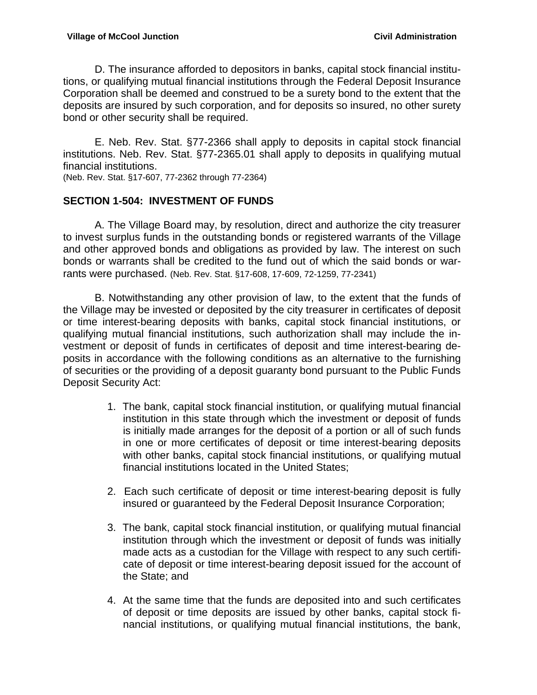D. The insurance afforded to depositors in banks, capital stock financial institutions, or qualifying mutual financial institutions through the Federal Deposit Insurance Corporation shall be deemed and construed to be a surety bond to the extent that the deposits are insured by such corporation, and for deposits so insured, no other surety bond or other security shall be required.

 E. Neb. Rev. Stat. §77-2366 shall apply to deposits in capital stock financial institutions. Neb. Rev. Stat. §77-2365.01 shall apply to deposits in qualifying mutual financial institutions.

(Neb. Rev. Stat. §17-607, 77-2362 through 77-2364)

## **SECTION 1-504: INVESTMENT OF FUNDS**

 A. The Village Board may, by resolution, direct and authorize the city treasurer to invest surplus funds in the outstanding bonds or registered warrants of the Village and other approved bonds and obligations as provided by law. The interest on such bonds or warrants shall be credited to the fund out of which the said bonds or warrants were purchased. (Neb. Rev. Stat. §17-608, 17-609, 72-1259, 77-2341)

 B. Notwithstanding any other provision of law, to the extent that the funds of the Village may be invested or deposited by the city treasurer in certificates of deposit or time interest-bearing deposits with banks, capital stock financial institutions, or qualifying mutual financial institutions, such authorization shall may include the investment or deposit of funds in certificates of deposit and time interest-bearing deposits in accordance with the following conditions as an alternative to the furnishing of securities or the providing of a deposit guaranty bond pursuant to the Public Funds Deposit Security Act:

- 1. The bank, capital stock financial institution, or qualifying mutual financial institution in this state through which the investment or deposit of funds is initially made arranges for the deposit of a portion or all of such funds in one or more certificates of deposit or time interest-bearing deposits with other banks, capital stock financial institutions, or qualifying mutual financial institutions located in the United States;
- 2. Each such certificate of deposit or time interest-bearing deposit is fully insured or guaranteed by the Federal Deposit Insurance Corporation;
- 3. The bank, capital stock financial institution, or qualifying mutual financial institution through which the investment or deposit of funds was initially made acts as a custodian for the Village with respect to any such certificate of deposit or time interest-bearing deposit issued for the account of the State; and
- 4. At the same time that the funds are deposited into and such certificates of deposit or time deposits are issued by other banks, capital stock financial institutions, or qualifying mutual financial institutions, the bank,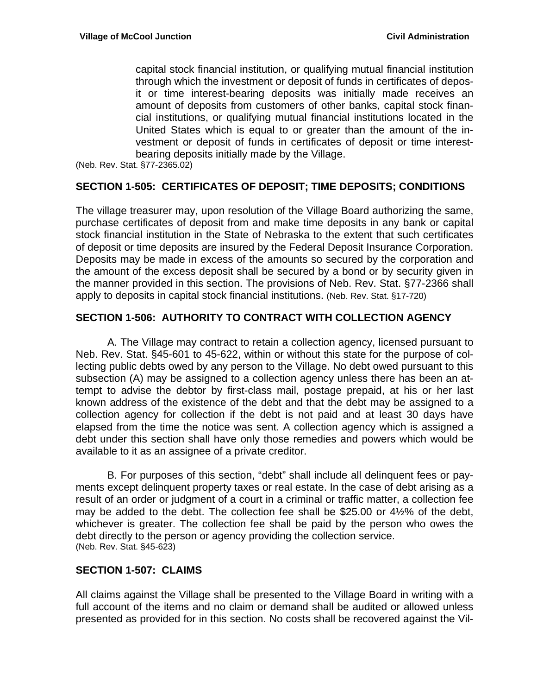capital stock financial institution, or qualifying mutual financial institution through which the investment or deposit of funds in certificates of deposit or time interest-bearing deposits was initially made receives an amount of deposits from customers of other banks, capital stock financial institutions, or qualifying mutual financial institutions located in the United States which is equal to or greater than the amount of the investment or deposit of funds in certificates of deposit or time interestbearing deposits initially made by the Village.

(Neb. Rev. Stat. §77-2365.02)

#### **SECTION 1-505: CERTIFICATES OF DEPOSIT; TIME DEPOSITS; CONDITIONS**

The village treasurer may, upon resolution of the Village Board authorizing the same, purchase certificates of deposit from and make time deposits in any bank or capital stock financial institution in the State of Nebraska to the extent that such certificates of deposit or time deposits are insured by the Federal Deposit Insurance Corporation. Deposits may be made in excess of the amounts so secured by the corporation and the amount of the excess deposit shall be secured by a bond or by security given in the manner provided in this section. The provisions of Neb. Rev. Stat. §77-2366 shall apply to deposits in capital stock financial institutions. (Neb. Rev. Stat. §17-720)

#### **SECTION 1-506: AUTHORITY TO CONTRACT WITH COLLECTION AGENCY**

 A. The Village may contract to retain a collection agency, licensed pursuant to Neb. Rev. Stat. §45-601 to 45-622, within or without this state for the purpose of collecting public debts owed by any person to the Village. No debt owed pursuant to this subsection (A) may be assigned to a collection agency unless there has been an attempt to advise the debtor by first-class mail, postage prepaid, at his or her last known address of the existence of the debt and that the debt may be assigned to a collection agency for collection if the debt is not paid and at least 30 days have elapsed from the time the notice was sent. A collection agency which is assigned a debt under this section shall have only those remedies and powers which would be available to it as an assignee of a private creditor.

 B. For purposes of this section, "debt" shall include all delinquent fees or payments except delinquent property taxes or real estate. In the case of debt arising as a result of an order or judgment of a court in a criminal or traffic matter, a collection fee may be added to the debt. The collection fee shall be \$25.00 or 4½% of the debt, whichever is greater. The collection fee shall be paid by the person who owes the debt directly to the person or agency providing the collection service. (Neb. Rev. Stat. §45-623)

#### **SECTION 1-507: CLAIMS**

All claims against the Village shall be presented to the Village Board in writing with a full account of the items and no claim or demand shall be audited or allowed unless presented as provided for in this section. No costs shall be recovered against the Vil-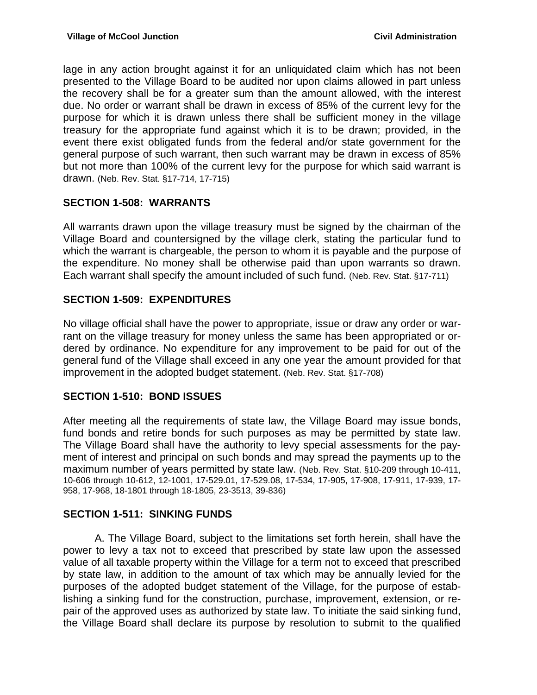lage in any action brought against it for an unliquidated claim which has not been presented to the Village Board to be audited nor upon claims allowed in part unless the recovery shall be for a greater sum than the amount allowed, with the interest due. No order or warrant shall be drawn in excess of 85% of the current levy for the purpose for which it is drawn unless there shall be sufficient money in the village treasury for the appropriate fund against which it is to be drawn; provided, in the event there exist obligated funds from the federal and/or state government for the general purpose of such warrant, then such warrant may be drawn in excess of 85% but not more than 100% of the current levy for the purpose for which said warrant is drawn. (Neb. Rev. Stat. §17-714, 17-715)

## **SECTION 1-508: WARRANTS**

All warrants drawn upon the village treasury must be signed by the chairman of the Village Board and countersigned by the village clerk, stating the particular fund to which the warrant is chargeable, the person to whom it is payable and the purpose of the expenditure. No money shall be otherwise paid than upon warrants so drawn. Each warrant shall specify the amount included of such fund. (Neb. Rev. Stat. §17-711)

## **SECTION 1-509: EXPENDITURES**

No village official shall have the power to appropriate, issue or draw any order or warrant on the village treasury for money unless the same has been appropriated or ordered by ordinance. No expenditure for any improvement to be paid for out of the general fund of the Village shall exceed in any one year the amount provided for that improvement in the adopted budget statement. (Neb. Rev. Stat. §17-708)

## **SECTION 1-510: BOND ISSUES**

After meeting all the requirements of state law, the Village Board may issue bonds, fund bonds and retire bonds for such purposes as may be permitted by state law. The Village Board shall have the authority to levy special assessments for the payment of interest and principal on such bonds and may spread the payments up to the maximum number of years permitted by state law. (Neb. Rev. Stat. §10-209 through 10-411, 10-606 through 10-612, 12-1001, 17-529.01, 17-529.08, 17-534, 17-905, 17-908, 17-911, 17-939, 17- 958, 17-968, 18-1801 through 18-1805, 23-3513, 39-836)

## **SECTION 1-511: SINKING FUNDS**

 A. The Village Board, subject to the limitations set forth herein, shall have the power to levy a tax not to exceed that prescribed by state law upon the assessed value of all taxable property within the Village for a term not to exceed that prescribed by state law, in addition to the amount of tax which may be annually levied for the purposes of the adopted budget statement of the Village, for the purpose of establishing a sinking fund for the construction, purchase, improvement, extension, or repair of the approved uses as authorized by state law. To initiate the said sinking fund, the Village Board shall declare its purpose by resolution to submit to the qualified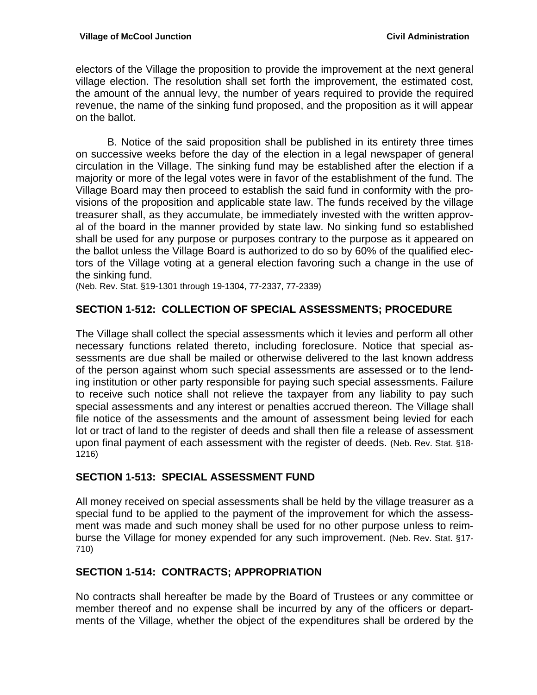electors of the Village the proposition to provide the improvement at the next general village election. The resolution shall set forth the improvement, the estimated cost, the amount of the annual levy, the number of years required to provide the required revenue, the name of the sinking fund proposed, and the proposition as it will appear on the ballot.

 B. Notice of the said proposition shall be published in its entirety three times on successive weeks before the day of the election in a legal newspaper of general circulation in the Village. The sinking fund may be established after the election if a majority or more of the legal votes were in favor of the establishment of the fund. The Village Board may then proceed to establish the said fund in conformity with the provisions of the proposition and applicable state law. The funds received by the village treasurer shall, as they accumulate, be immediately invested with the written approval of the board in the manner provided by state law. No sinking fund so established shall be used for any purpose or purposes contrary to the purpose as it appeared on the ballot unless the Village Board is authorized to do so by 60% of the qualified electors of the Village voting at a general election favoring such a change in the use of the sinking fund.

(Neb. Rev. Stat. §19-1301 through 19-1304, 77-2337, 77-2339)

### **SECTION 1-512: COLLECTION OF SPECIAL ASSESSMENTS; PROCEDURE**

The Village shall collect the special assessments which it levies and perform all other necessary functions related thereto, including foreclosure. Notice that special assessments are due shall be mailed or otherwise delivered to the last known address of the person against whom such special assessments are assessed or to the lending institution or other party responsible for paying such special assessments. Failure to receive such notice shall not relieve the taxpayer from any liability to pay such special assessments and any interest or penalties accrued thereon. The Village shall file notice of the assessments and the amount of assessment being levied for each lot or tract of land to the register of deeds and shall then file a release of assessment upon final payment of each assessment with the register of deeds. (Neb. Rev. Stat. §18- 1216)

#### **SECTION 1-513: SPECIAL ASSESSMENT FUND**

All money received on special assessments shall be held by the village treasurer as a special fund to be applied to the payment of the improvement for which the assessment was made and such money shall be used for no other purpose unless to reimburse the Village for money expended for any such improvement. (Neb. Rev. Stat. §17- 710)

#### **SECTION 1-514: CONTRACTS; APPROPRIATION**

No contracts shall hereafter be made by the Board of Trustees or any committee or member thereof and no expense shall be incurred by any of the officers or departments of the Village, whether the object of the expenditures shall be ordered by the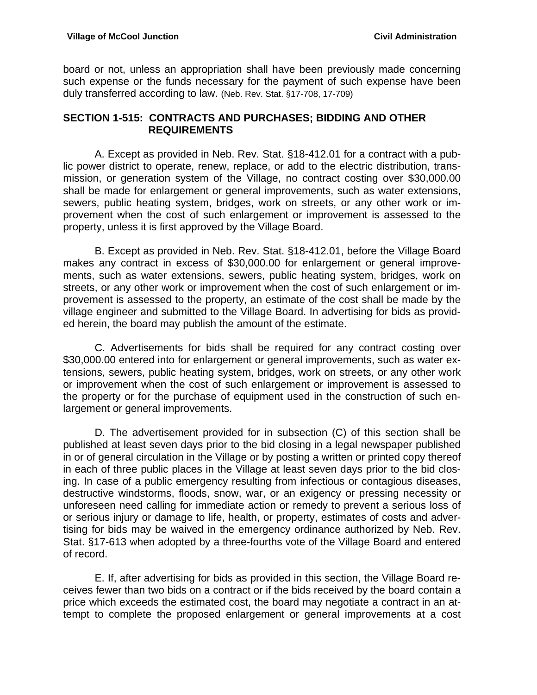board or not, unless an appropriation shall have been previously made concerning such expense or the funds necessary for the payment of such expense have been duly transferred according to law. (Neb. Rev. Stat. §17-708, 17-709)

### **SECTION 1-515: CONTRACTS AND PURCHASES; BIDDING AND OTHER REQUIREMENTS**

 A. Except as provided in Neb. Rev. Stat. §18-412.01 for a contract with a public power district to operate, renew, replace, or add to the electric distribution, transmission, or generation system of the Village, no contract costing over \$30,000.00 shall be made for enlargement or general improvements, such as water extensions, sewers, public heating system, bridges, work on streets, or any other work or improvement when the cost of such enlargement or improvement is assessed to the property, unless it is first approved by the Village Board.

 B. Except as provided in Neb. Rev. Stat. §18-412.01, before the Village Board makes any contract in excess of \$30,000.00 for enlargement or general improvements, such as water extensions, sewers, public heating system, bridges, work on streets, or any other work or improvement when the cost of such enlargement or improvement is assessed to the property, an estimate of the cost shall be made by the village engineer and submitted to the Village Board. In advertising for bids as provided herein, the board may publish the amount of the estimate.

 C. Advertisements for bids shall be required for any contract costing over \$30,000.00 entered into for enlargement or general improvements, such as water extensions, sewers, public heating system, bridges, work on streets, or any other work or improvement when the cost of such enlargement or improvement is assessed to the property or for the purchase of equipment used in the construction of such enlargement or general improvements.

 D. The advertisement provided for in subsection (C) of this section shall be published at least seven days prior to the bid closing in a legal newspaper published in or of general circulation in the Village or by posting a written or printed copy thereof in each of three public places in the Village at least seven days prior to the bid closing. In case of a public emergency resulting from infectious or contagious diseases, destructive windstorms, floods, snow, war, or an exigency or pressing necessity or unforeseen need calling for immediate action or remedy to prevent a serious loss of or serious injury or damage to life, health, or property, estimates of costs and advertising for bids may be waived in the emergency ordinance authorized by Neb. Rev. Stat. §17-613 when adopted by a three-fourths vote of the Village Board and entered of record.

 E. If, after advertising for bids as provided in this section, the Village Board receives fewer than two bids on a contract or if the bids received by the board contain a price which exceeds the estimated cost, the board may negotiate a contract in an attempt to complete the proposed enlargement or general improvements at a cost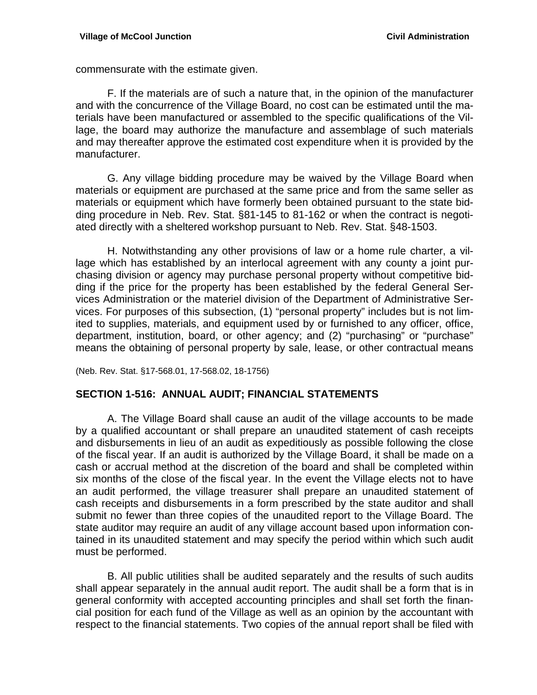commensurate with the estimate given.

 F. If the materials are of such a nature that, in the opinion of the manufacturer and with the concurrence of the Village Board, no cost can be estimated until the materials have been manufactured or assembled to the specific qualifications of the Village, the board may authorize the manufacture and assemblage of such materials and may thereafter approve the estimated cost expenditure when it is provided by the manufacturer.

 G. Any village bidding procedure may be waived by the Village Board when materials or equipment are purchased at the same price and from the same seller as materials or equipment which have formerly been obtained pursuant to the state bidding procedure in Neb. Rev. Stat. §81-145 to 81-162 or when the contract is negotiated directly with a sheltered workshop pursuant to Neb. Rev. Stat. §48-1503.

 H. Notwithstanding any other provisions of law or a home rule charter, a village which has established by an interlocal agreement with any county a joint purchasing division or agency may purchase personal property without competitive bidding if the price for the property has been established by the federal General Services Administration or the materiel division of the Department of Administrative Services. For purposes of this subsection, (1) "personal property" includes but is not limited to supplies, materials, and equipment used by or furnished to any officer, office, department, institution, board, or other agency; and (2) "purchasing" or "purchase" means the obtaining of personal property by sale, lease, or other contractual means

(Neb. Rev. Stat. §17-568.01, 17-568.02, 18-1756)

#### **SECTION 1-516: ANNUAL AUDIT; FINANCIAL STATEMENTS**

 A. The Village Board shall cause an audit of the village accounts to be made by a qualified accountant or shall prepare an unaudited statement of cash receipts and disbursements in lieu of an audit as expeditiously as possible following the close of the fiscal year. If an audit is authorized by the Village Board, it shall be made on a cash or accrual method at the discretion of the board and shall be completed within six months of the close of the fiscal year. In the event the Village elects not to have an audit performed, the village treasurer shall prepare an unaudited statement of cash receipts and disbursements in a form prescribed by the state auditor and shall submit no fewer than three copies of the unaudited report to the Village Board. The state auditor may require an audit of any village account based upon information contained in its unaudited statement and may specify the period within which such audit must be performed.

 B. All public utilities shall be audited separately and the results of such audits shall appear separately in the annual audit report. The audit shall be a form that is in general conformity with accepted accounting principles and shall set forth the financial position for each fund of the Village as well as an opinion by the accountant with respect to the financial statements. Two copies of the annual report shall be filed with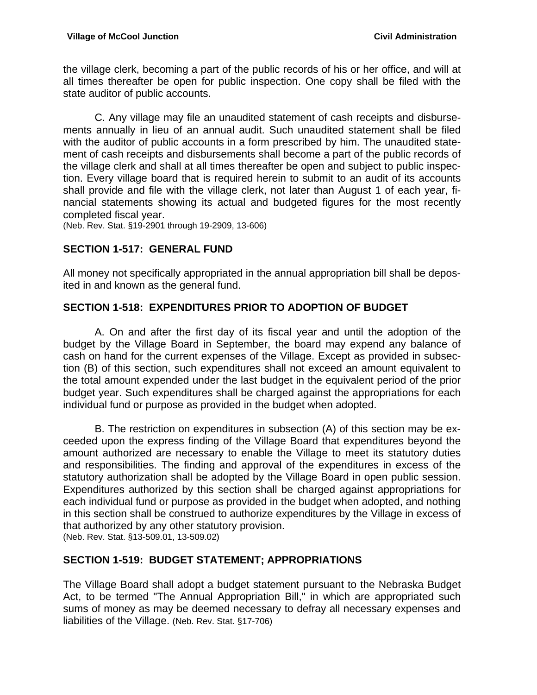the village clerk, becoming a part of the public records of his or her office, and will at all times thereafter be open for public inspection. One copy shall be filed with the state auditor of public accounts.

 C. Any village may file an unaudited statement of cash receipts and disbursements annually in lieu of an annual audit. Such unaudited statement shall be filed with the auditor of public accounts in a form prescribed by him. The unaudited statement of cash receipts and disbursements shall become a part of the public records of the village clerk and shall at all times thereafter be open and subject to public inspection. Every village board that is required herein to submit to an audit of its accounts shall provide and file with the village clerk, not later than August 1 of each year, financial statements showing its actual and budgeted figures for the most recently completed fiscal year.

(Neb. Rev. Stat. §19-2901 through 19-2909, 13-606)

## **SECTION 1-517: GENERAL FUND**

All money not specifically appropriated in the annual appropriation bill shall be deposited in and known as the general fund.

## **SECTION 1-518: EXPENDITURES PRIOR TO ADOPTION OF BUDGET**

 A. On and after the first day of its fiscal year and until the adoption of the budget by the Village Board in September, the board may expend any balance of cash on hand for the current expenses of the Village. Except as provided in subsection (B) of this section, such expenditures shall not exceed an amount equivalent to the total amount expended under the last budget in the equivalent period of the prior budget year. Such expenditures shall be charged against the appropriations for each individual fund or purpose as provided in the budget when adopted.

 B. The restriction on expenditures in subsection (A) of this section may be exceeded upon the express finding of the Village Board that expenditures beyond the amount authorized are necessary to enable the Village to meet its statutory duties and responsibilities. The finding and approval of the expenditures in excess of the statutory authorization shall be adopted by the Village Board in open public session. Expenditures authorized by this section shall be charged against appropriations for each individual fund or purpose as provided in the budget when adopted, and nothing in this section shall be construed to authorize expenditures by the Village in excess of that authorized by any other statutory provision. (Neb. Rev. Stat. §13-509.01, 13-509.02)

## **SECTION 1-519: BUDGET STATEMENT; APPROPRIATIONS**

The Village Board shall adopt a budget statement pursuant to the Nebraska Budget Act, to be termed "The Annual Appropriation Bill," in which are appropriated such sums of money as may be deemed necessary to defray all necessary expenses and liabilities of the Village. (Neb. Rev. Stat. §17-706)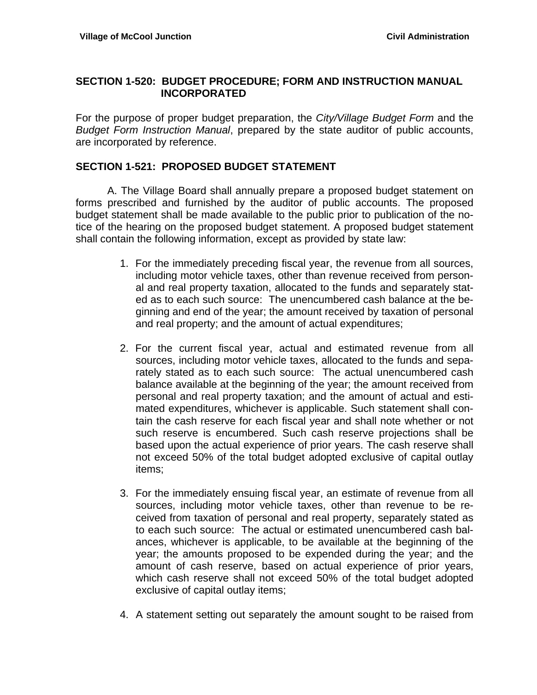### **SECTION 1-520: BUDGET PROCEDURE; FORM AND INSTRUCTION MANUAL INCORPORATED**

For the purpose of proper budget preparation, the *City/Village Budget Form* and the *Budget Form Instruction Manual*, prepared by the state auditor of public accounts, are incorporated by reference.

### **SECTION 1-521: PROPOSED BUDGET STATEMENT**

A. The Village Board shall annually prepare a proposed budget statement on forms prescribed and furnished by the auditor of public accounts. The proposed budget statement shall be made available to the public prior to publication of the notice of the hearing on the proposed budget statement. A proposed budget statement shall contain the following information, except as provided by state law:

- 1. For the immediately preceding fiscal year, the revenue from all sources, including motor vehicle taxes, other than revenue received from personal and real property taxation, allocated to the funds and separately stated as to each such source: The unencumbered cash balance at the beginning and end of the year; the amount received by taxation of personal and real property; and the amount of actual expenditures;
- 2. For the current fiscal year, actual and estimated revenue from all sources, including motor vehicle taxes, allocated to the funds and separately stated as to each such source: The actual unencumbered cash balance available at the beginning of the year; the amount received from personal and real property taxation; and the amount of actual and estimated expenditures, whichever is applicable. Such statement shall contain the cash reserve for each fiscal year and shall note whether or not such reserve is encumbered. Such cash reserve projections shall be based upon the actual experience of prior years. The cash reserve shall not exceed 50% of the total budget adopted exclusive of capital outlay items;
- 3. For the immediately ensuing fiscal year, an estimate of revenue from all sources, including motor vehicle taxes, other than revenue to be received from taxation of personal and real property, separately stated as to each such source: The actual or estimated unencumbered cash balances, whichever is applicable, to be available at the beginning of the year; the amounts proposed to be expended during the year; and the amount of cash reserve, based on actual experience of prior years, which cash reserve shall not exceed 50% of the total budget adopted exclusive of capital outlay items;
- 4. A statement setting out separately the amount sought to be raised from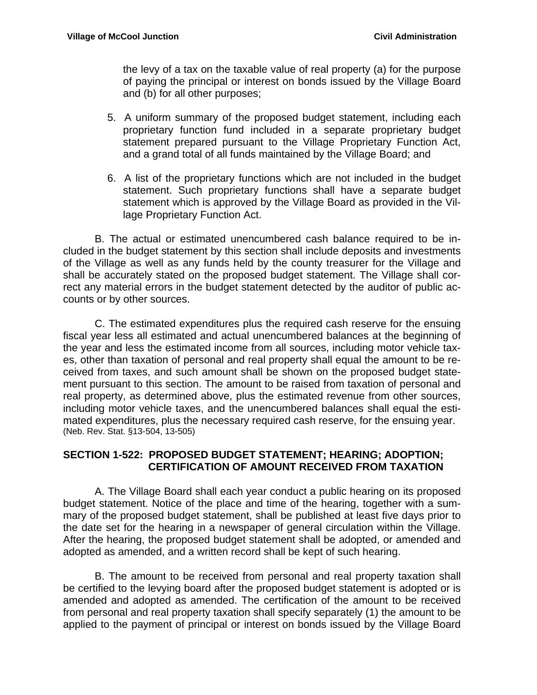the levy of a tax on the taxable value of real property (a) for the purpose of paying the principal or interest on bonds issued by the Village Board and (b) for all other purposes;

- 5. A uniform summary of the proposed budget statement, including each proprietary function fund included in a separate proprietary budget statement prepared pursuant to the Village Proprietary Function Act, and a grand total of all funds maintained by the Village Board; and
- 6. A list of the proprietary functions which are not included in the budget statement. Such proprietary functions shall have a separate budget statement which is approved by the Village Board as provided in the Village Proprietary Function Act.

 B. The actual or estimated unencumbered cash balance required to be included in the budget statement by this section shall include deposits and investments of the Village as well as any funds held by the county treasurer for the Village and shall be accurately stated on the proposed budget statement. The Village shall correct any material errors in the budget statement detected by the auditor of public accounts or by other sources.

 C. The estimated expenditures plus the required cash reserve for the ensuing fiscal year less all estimated and actual unencumbered balances at the beginning of the year and less the estimated income from all sources, including motor vehicle taxes, other than taxation of personal and real property shall equal the amount to be received from taxes, and such amount shall be shown on the proposed budget statement pursuant to this section. The amount to be raised from taxation of personal and real property, as determined above, plus the estimated revenue from other sources, including motor vehicle taxes, and the unencumbered balances shall equal the estimated expenditures, plus the necessary required cash reserve, for the ensuing year. (Neb. Rev. Stat. §13-504, 13-505)

### **SECTION 1-522: PROPOSED BUDGET STATEMENT; HEARING; ADOPTION; CERTIFICATION OF AMOUNT RECEIVED FROM TAXATION**

 A. The Village Board shall each year conduct a public hearing on its proposed budget statement. Notice of the place and time of the hearing, together with a summary of the proposed budget statement, shall be published at least five days prior to the date set for the hearing in a newspaper of general circulation within the Village. After the hearing, the proposed budget statement shall be adopted, or amended and adopted as amended, and a written record shall be kept of such hearing.

 B. The amount to be received from personal and real property taxation shall be certified to the levying board after the proposed budget statement is adopted or is amended and adopted as amended. The certification of the amount to be received from personal and real property taxation shall specify separately (1) the amount to be applied to the payment of principal or interest on bonds issued by the Village Board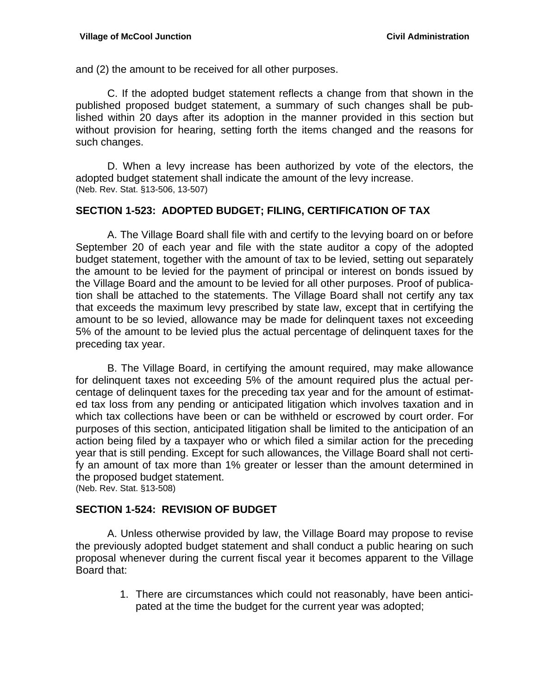and (2) the amount to be received for all other purposes.

 C. If the adopted budget statement reflects a change from that shown in the published proposed budget statement, a summary of such changes shall be published within 20 days after its adoption in the manner provided in this section but without provision for hearing, setting forth the items changed and the reasons for such changes.

 D. When a levy increase has been authorized by vote of the electors, the adopted budget statement shall indicate the amount of the levy increase. (Neb. Rev. Stat. §13-506, 13-507)

#### **SECTION 1-523: ADOPTED BUDGET; FILING, CERTIFICATION OF TAX**

A. The Village Board shall file with and certify to the levying board on or before September 20 of each year and file with the state auditor a copy of the adopted budget statement, together with the amount of tax to be levied, setting out separately the amount to be levied for the payment of principal or interest on bonds issued by the Village Board and the amount to be levied for all other purposes. Proof of publication shall be attached to the statements. The Village Board shall not certify any tax that exceeds the maximum levy prescribed by state law, except that in certifying the amount to be so levied, allowance may be made for delinquent taxes not exceeding 5% of the amount to be levied plus the actual percentage of delinquent taxes for the preceding tax year.

 B. The Village Board, in certifying the amount required, may make allowance for delinquent taxes not exceeding 5% of the amount required plus the actual percentage of delinquent taxes for the preceding tax year and for the amount of estimated tax loss from any pending or anticipated litigation which involves taxation and in which tax collections have been or can be withheld or escrowed by court order. For purposes of this section, anticipated litigation shall be limited to the anticipation of an action being filed by a taxpayer who or which filed a similar action for the preceding year that is still pending. Except for such allowances, the Village Board shall not certify an amount of tax more than 1% greater or lesser than the amount determined in the proposed budget statement. (Neb. Rev. Stat. §13-508)

#### **SECTION 1-524: REVISION OF BUDGET**

 A. Unless otherwise provided by law, the Village Board may propose to revise the previously adopted budget statement and shall conduct a public hearing on such proposal whenever during the current fiscal year it becomes apparent to the Village Board that:

> 1. There are circumstances which could not reasonably, have been anticipated at the time the budget for the current year was adopted;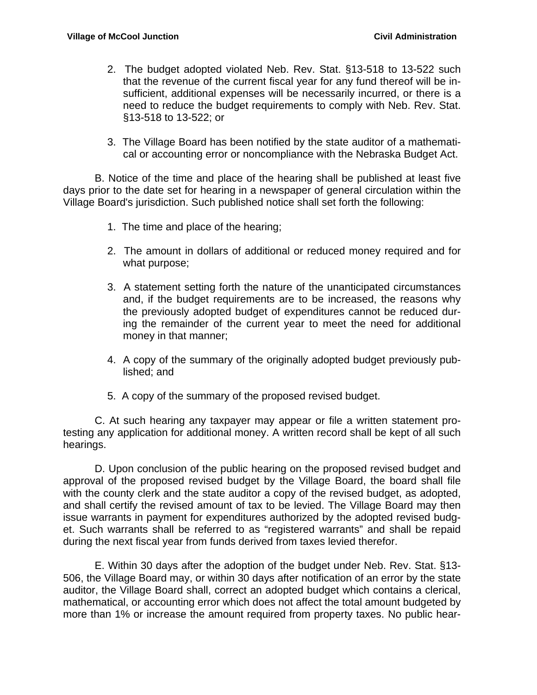- 2. The budget adopted violated Neb. Rev. Stat. §13-518 to 13-522 such that the revenue of the current fiscal year for any fund thereof will be insufficient, additional expenses will be necessarily incurred, or there is a need to reduce the budget requirements to comply with Neb. Rev. Stat. §13-518 to 13-522; or
- 3. The Village Board has been notified by the state auditor of a mathematical or accounting error or noncompliance with the Nebraska Budget Act.

 B. Notice of the time and place of the hearing shall be published at least five days prior to the date set for hearing in a newspaper of general circulation within the Village Board's jurisdiction. Such published notice shall set forth the following:

- 1. The time and place of the hearing;
- 2. The amount in dollars of additional or reduced money required and for what purpose;
- 3. A statement setting forth the nature of the unanticipated circumstances and, if the budget requirements are to be increased, the reasons why the previously adopted budget of expenditures cannot be reduced during the remainder of the current year to meet the need for additional money in that manner;
- 4. A copy of the summary of the originally adopted budget previously published; and
- 5. A copy of the summary of the proposed revised budget.

 C. At such hearing any taxpayer may appear or file a written statement protesting any application for additional money. A written record shall be kept of all such hearings.

 D. Upon conclusion of the public hearing on the proposed revised budget and approval of the proposed revised budget by the Village Board, the board shall file with the county clerk and the state auditor a copy of the revised budget, as adopted, and shall certify the revised amount of tax to be levied. The Village Board may then issue warrants in payment for expenditures authorized by the adopted revised budget. Such warrants shall be referred to as "registered warrants" and shall be repaid during the next fiscal year from funds derived from taxes levied therefor.

 E. Within 30 days after the adoption of the budget under Neb. Rev. Stat. §13- 506, the Village Board may, or within 30 days after notification of an error by the state auditor, the Village Board shall, correct an adopted budget which contains a clerical, mathematical, or accounting error which does not affect the total amount budgeted by more than 1% or increase the amount required from property taxes. No public hear-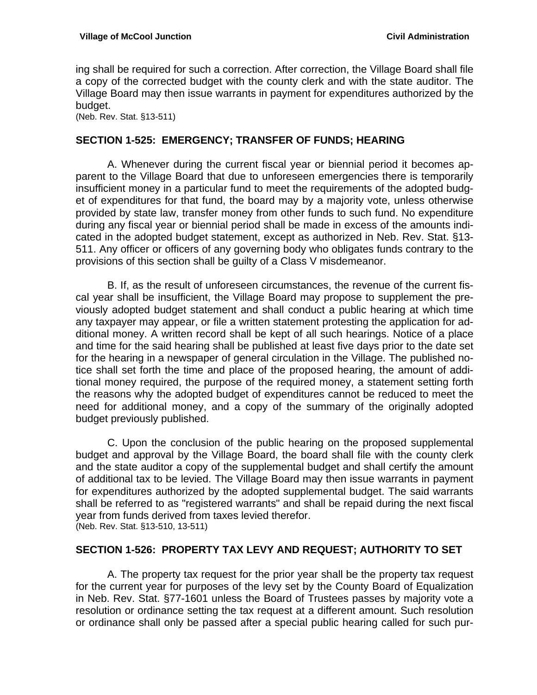ing shall be required for such a correction. After correction, the Village Board shall file a copy of the corrected budget with the county clerk and with the state auditor. The Village Board may then issue warrants in payment for expenditures authorized by the budget.

(Neb. Rev. Stat. §13-511)

#### **SECTION 1-525: EMERGENCY; TRANSFER OF FUNDS; HEARING**

 A. Whenever during the current fiscal year or biennial period it becomes apparent to the Village Board that due to unforeseen emergencies there is temporarily insufficient money in a particular fund to meet the requirements of the adopted budget of expenditures for that fund, the board may by a majority vote, unless otherwise provided by state law, transfer money from other funds to such fund. No expenditure during any fiscal year or biennial period shall be made in excess of the amounts indicated in the adopted budget statement, except as authorized in Neb. Rev. Stat. §13- 511. Any officer or officers of any governing body who obligates funds contrary to the provisions of this section shall be guilty of a Class V misdemeanor.

 B. If, as the result of unforeseen circumstances, the revenue of the current fiscal year shall be insufficient, the Village Board may propose to supplement the previously adopted budget statement and shall conduct a public hearing at which time any taxpayer may appear, or file a written statement protesting the application for additional money. A written record shall be kept of all such hearings. Notice of a place and time for the said hearing shall be published at least five days prior to the date set for the hearing in a newspaper of general circulation in the Village. The published notice shall set forth the time and place of the proposed hearing, the amount of additional money required, the purpose of the required money, a statement setting forth the reasons why the adopted budget of expenditures cannot be reduced to meet the need for additional money, and a copy of the summary of the originally adopted budget previously published.

C. Upon the conclusion of the public hearing on the proposed supplemental budget and approval by the Village Board, the board shall file with the county clerk and the state auditor a copy of the supplemental budget and shall certify the amount of additional tax to be levied. The Village Board may then issue warrants in payment for expenditures authorized by the adopted supplemental budget. The said warrants shall be referred to as "registered warrants" and shall be repaid during the next fiscal year from funds derived from taxes levied therefor. (Neb. Rev. Stat. §13-510, 13-511)

#### **SECTION 1-526: PROPERTY TAX LEVY AND REQUEST; AUTHORITY TO SET**

 A. The property tax request for the prior year shall be the property tax request for the current year for purposes of the levy set by the County Board of Equalization in Neb. Rev. Stat. §77-1601 unless the Board of Trustees passes by majority vote a resolution or ordinance setting the tax request at a different amount. Such resolution or ordinance shall only be passed after a special public hearing called for such pur-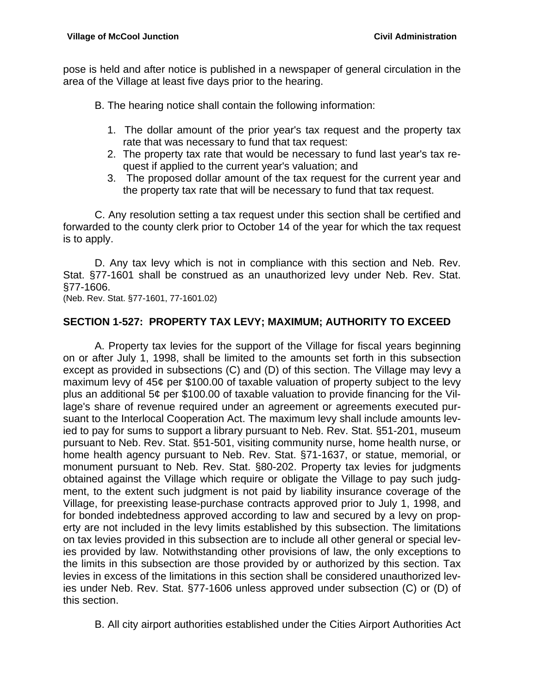pose is held and after notice is published in a newspaper of general circulation in the area of the Village at least five days prior to the hearing.

B. The hearing notice shall contain the following information:

- 1. The dollar amount of the prior year's tax request and the property tax rate that was necessary to fund that tax request:
- 2. The property tax rate that would be necessary to fund last year's tax request if applied to the current year's valuation; and
- 3. The proposed dollar amount of the tax request for the current year and the property tax rate that will be necessary to fund that tax request.

 C. Any resolution setting a tax request under this section shall be certified and forwarded to the county clerk prior to October 14 of the year for which the tax request is to apply.

 D. Any tax levy which is not in compliance with this section and Neb. Rev. Stat. §77-1601 shall be construed as an unauthorized levy under Neb. Rev. Stat. §77-1606.<br>(Neb. Rev. Stat. §77-1601, 77-1601.02)

### **SECTION 1-527: PROPERTY TAX LEVY; MAXIMUM; AUTHORITY TO EXCEED**

 A. Property tax levies for the support of the Village for fiscal years beginning on or after July 1, 1998, shall be limited to the amounts set forth in this subsection except as provided in subsections (C) and (D) of this section. The Village may levy a maximum levy of 45¢ per \$100.00 of taxable valuation of property subject to the levy plus an additional 5¢ per \$100.00 of taxable valuation to provide financing for the Village's share of revenue required under an agreement or agreements executed pursuant to the Interlocal Cooperation Act. The maximum levy shall include amounts levied to pay for sums to support a library pursuant to Neb. Rev. Stat. §51-201, museum pursuant to Neb. Rev. Stat. §51-501, visiting community nurse, home health nurse, or home health agency pursuant to Neb. Rev. Stat. §71-1637, or statue, memorial, or monument pursuant to Neb. Rev. Stat. §80-202. Property tax levies for judgments obtained against the Village which require or obligate the Village to pay such judgment, to the extent such judgment is not paid by liability insurance coverage of the Village, for preexisting lease-purchase contracts approved prior to July 1, 1998, and for bonded indebtedness approved according to law and secured by a levy on property are not included in the levy limits established by this subsection. The limitations on tax levies provided in this subsection are to include all other general or special levies provided by law. Notwithstanding other provisions of law, the only exceptions to the limits in this subsection are those provided by or authorized by this section. Tax levies in excess of the limitations in this section shall be considered unauthorized levies under Neb. Rev. Stat. §77-1606 unless approved under subsection (C) or (D) of this section.

B. All city airport authorities established under the Cities Airport Authorities Act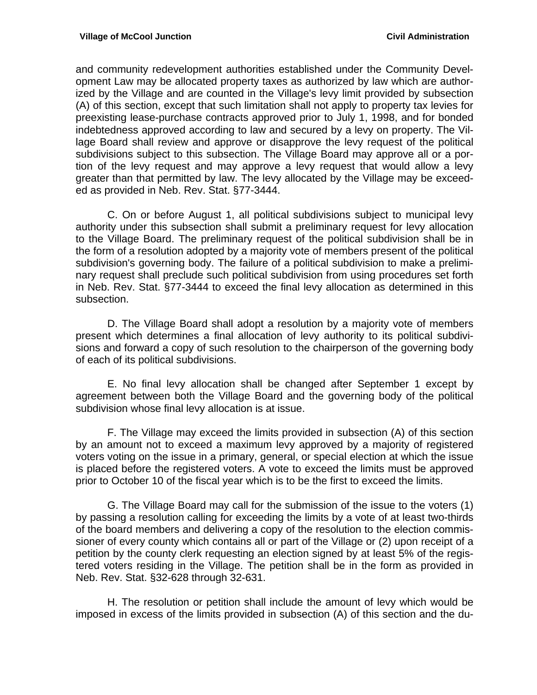and community redevelopment authorities established under the Community Development Law may be allocated property taxes as authorized by law which are authorized by the Village and are counted in the Village's levy limit provided by subsection (A) of this section, except that such limitation shall not apply to property tax levies for preexisting lease-purchase contracts approved prior to July 1, 1998, and for bonded indebtedness approved according to law and secured by a levy on property. The Village Board shall review and approve or disapprove the levy request of the political subdivisions subject to this subsection. The Village Board may approve all or a portion of the levy request and may approve a levy request that would allow a levy greater than that permitted by law. The levy allocated by the Village may be exceeded as provided in Neb. Rev. Stat. §77-3444.

 C. On or before August 1, all political subdivisions subject to municipal levy authority under this subsection shall submit a preliminary request for levy allocation to the Village Board. The preliminary request of the political subdivision shall be in the form of a resolution adopted by a majority vote of members present of the political subdivision's governing body. The failure of a political subdivision to make a preliminary request shall preclude such political subdivision from using procedures set forth in Neb. Rev. Stat. §77-3444 to exceed the final levy allocation as determined in this subsection.

 D. The Village Board shall adopt a resolution by a majority vote of members present which determines a final allocation of levy authority to its political subdivisions and forward a copy of such resolution to the chairperson of the governing body of each of its political subdivisions.

 E. No final levy allocation shall be changed after September 1 except by agreement between both the Village Board and the governing body of the political subdivision whose final levy allocation is at issue.

 F. The Village may exceed the limits provided in subsection (A) of this section by an amount not to exceed a maximum levy approved by a majority of registered voters voting on the issue in a primary, general, or special election at which the issue is placed before the registered voters. A vote to exceed the limits must be approved prior to October 10 of the fiscal year which is to be the first to exceed the limits.

 G. The Village Board may call for the submission of the issue to the voters (1) by passing a resolution calling for exceeding the limits by a vote of at least two-thirds of the board members and delivering a copy of the resolution to the election commissioner of every county which contains all or part of the Village or (2) upon receipt of a petition by the county clerk requesting an election signed by at least 5% of the registered voters residing in the Village. The petition shall be in the form as provided in Neb. Rev. Stat. §32-628 through 32-631.

 H. The resolution or petition shall include the amount of levy which would be imposed in excess of the limits provided in subsection (A) of this section and the du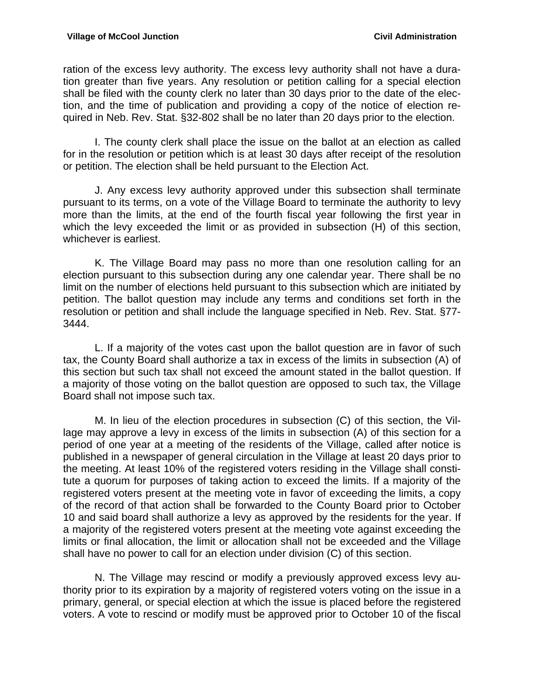ration of the excess levy authority. The excess levy authority shall not have a duration greater than five years. Any resolution or petition calling for a special election shall be filed with the county clerk no later than 30 days prior to the date of the election, and the time of publication and providing a copy of the notice of election required in Neb. Rev. Stat. §32-802 shall be no later than 20 days prior to the election.

 I. The county clerk shall place the issue on the ballot at an election as called for in the resolution or petition which is at least 30 days after receipt of the resolution or petition. The election shall be held pursuant to the Election Act.

 J. Any excess levy authority approved under this subsection shall terminate pursuant to its terms, on a vote of the Village Board to terminate the authority to levy more than the limits, at the end of the fourth fiscal year following the first year in which the levy exceeded the limit or as provided in subsection (H) of this section, whichever is earliest.

 K. The Village Board may pass no more than one resolution calling for an election pursuant to this subsection during any one calendar year. There shall be no limit on the number of elections held pursuant to this subsection which are initiated by petition. The ballot question may include any terms and conditions set forth in the resolution or petition and shall include the language specified in Neb. Rev. Stat. §77- 3444.

 L. If a majority of the votes cast upon the ballot question are in favor of such tax, the County Board shall authorize a tax in excess of the limits in subsection (A) of this section but such tax shall not exceed the amount stated in the ballot question. If a majority of those voting on the ballot question are opposed to such tax, the Village Board shall not impose such tax.

 M. In lieu of the election procedures in subsection (C) of this section, the Village may approve a levy in excess of the limits in subsection (A) of this section for a period of one year at a meeting of the residents of the Village, called after notice is published in a newspaper of general circulation in the Village at least 20 days prior to the meeting. At least 10% of the registered voters residing in the Village shall constitute a quorum for purposes of taking action to exceed the limits. If a majority of the registered voters present at the meeting vote in favor of exceeding the limits, a copy of the record of that action shall be forwarded to the County Board prior to October 10 and said board shall authorize a levy as approved by the residents for the year. If a majority of the registered voters present at the meeting vote against exceeding the limits or final allocation, the limit or allocation shall not be exceeded and the Village shall have no power to call for an election under division (C) of this section.

 N. The Village may rescind or modify a previously approved excess levy authority prior to its expiration by a majority of registered voters voting on the issue in a primary, general, or special election at which the issue is placed before the registered voters. A vote to rescind or modify must be approved prior to October 10 of the fiscal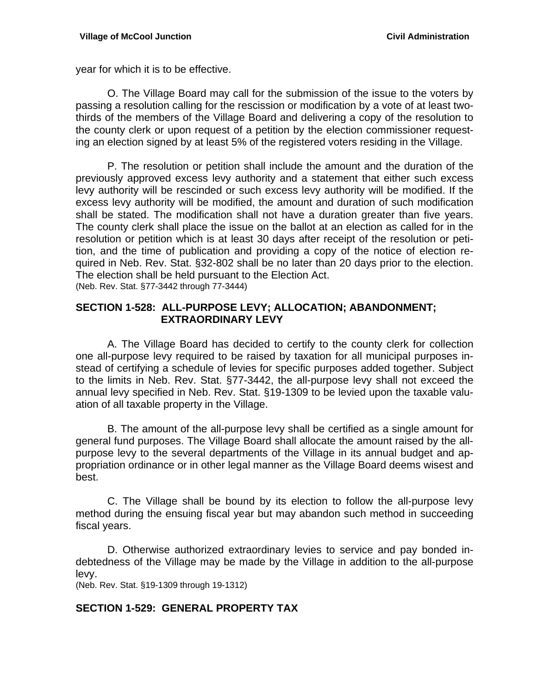year for which it is to be effective.

 O. The Village Board may call for the submission of the issue to the voters by passing a resolution calling for the rescission or modification by a vote of at least twothirds of the members of the Village Board and delivering a copy of the resolution to the county clerk or upon request of a petition by the election commissioner requesting an election signed by at least 5% of the registered voters residing in the Village.

 P. The resolution or petition shall include the amount and the duration of the previously approved excess levy authority and a statement that either such excess levy authority will be rescinded or such excess levy authority will be modified. If the excess levy authority will be modified, the amount and duration of such modification shall be stated. The modification shall not have a duration greater than five years. The county clerk shall place the issue on the ballot at an election as called for in the resolution or petition which is at least 30 days after receipt of the resolution or petition, and the time of publication and providing a copy of the notice of election required in Neb. Rev. Stat. §32-802 shall be no later than 20 days prior to the election. The election shall be held pursuant to the Election Act. (Neb. Rev. Stat. §77-3442 through 77-3444)

#### **SECTION 1-528: ALL-PURPOSE LEVY; ALLOCATION; ABANDONMENT; EXTRAORDINARY LEVY**

 A. The Village Board has decided to certify to the county clerk for collection one all-purpose levy required to be raised by taxation for all municipal purposes instead of certifying a schedule of levies for specific purposes added together. Subject to the limits in Neb. Rev. Stat. §77-3442, the all-purpose levy shall not exceed the annual levy specified in Neb. Rev. Stat. §19-1309 to be levied upon the taxable valuation of all taxable property in the Village.

 B. The amount of the all-purpose levy shall be certified as a single amount for general fund purposes. The Village Board shall allocate the amount raised by the allpurpose levy to the several departments of the Village in its annual budget and appropriation ordinance or in other legal manner as the Village Board deems wisest and best.

 C. The Village shall be bound by its election to follow the all-purpose levy method during the ensuing fiscal year but may abandon such method in succeeding fiscal years.

 D. Otherwise authorized extraordinary levies to service and pay bonded indebtedness of the Village may be made by the Village in addition to the all-purpose levy.

(Neb. Rev. Stat. §19-1309 through 19-1312)

#### **SECTION 1-529: GENERAL PROPERTY TAX**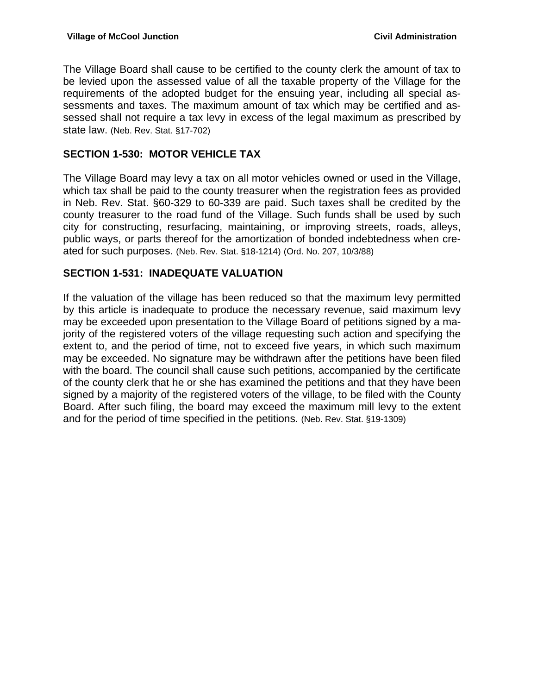The Village Board shall cause to be certified to the county clerk the amount of tax to be levied upon the assessed value of all the taxable property of the Village for the requirements of the adopted budget for the ensuing year, including all special assessments and taxes. The maximum amount of tax which may be certified and assessed shall not require a tax levy in excess of the legal maximum as prescribed by state law. (Neb. Rev. Stat. §17-702)

## **SECTION 1-530: MOTOR VEHICLE TAX**

The Village Board may levy a tax on all motor vehicles owned or used in the Village, which tax shall be paid to the county treasurer when the registration fees as provided in Neb. Rev. Stat. §60-329 to 60-339 are paid. Such taxes shall be credited by the county treasurer to the road fund of the Village. Such funds shall be used by such city for constructing, resurfacing, maintaining, or improving streets, roads, alleys, public ways, or parts thereof for the amortization of bonded indebtedness when created for such purposes. (Neb. Rev. Stat. §18-1214) (Ord. No. 207, 10/3/88)

### **SECTION 1-531: INADEQUATE VALUATION**

If the valuation of the village has been reduced so that the maximum levy permitted by this article is inadequate to produce the necessary revenue, said maximum levy may be exceeded upon presentation to the Village Board of petitions signed by a majority of the registered voters of the village requesting such action and specifying the extent to, and the period of time, not to exceed five years, in which such maximum may be exceeded. No signature may be withdrawn after the petitions have been filed with the board. The council shall cause such petitions, accompanied by the certificate of the county clerk that he or she has examined the petitions and that they have been signed by a majority of the registered voters of the village, to be filed with the County Board. After such filing, the board may exceed the maximum mill levy to the extent and for the period of time specified in the petitions. (Neb. Rev. Stat. §19-1309)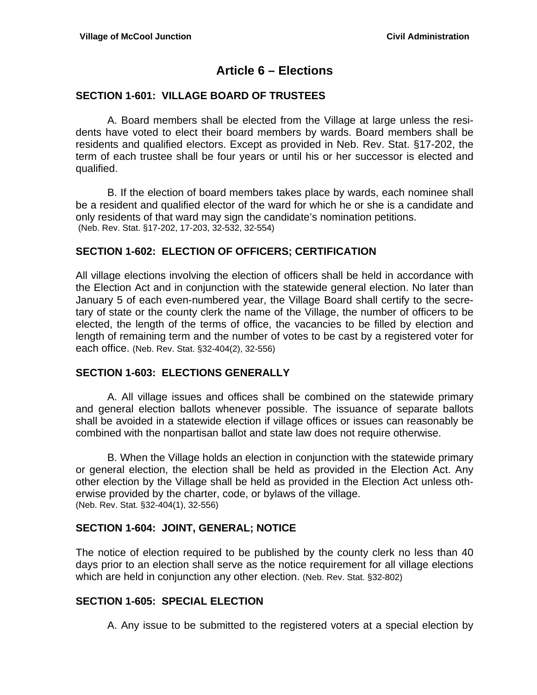## **Article 6 – Elections**

### **SECTION 1-601: VILLAGE BOARD OF TRUSTEES**

A. Board members shall be elected from the Village at large unless the residents have voted to elect their board members by wards. Board members shall be residents and qualified electors. Except as provided in Neb. Rev. Stat. §17-202, the term of each trustee shall be four years or until his or her successor is elected and qualified.

B. If the election of board members takes place by wards, each nominee shall be a resident and qualified elector of the ward for which he or she is a candidate and only residents of that ward may sign the candidate's nomination petitions. (Neb. Rev. Stat. §17-202, 17-203, 32-532, 32-554)

#### **SECTION 1-602: ELECTION OF OFFICERS; CERTIFICATION**

All village elections involving the election of officers shall be held in accordance with the Election Act and in conjunction with the statewide general election. No later than January 5 of each even-numbered year, the Village Board shall certify to the secretary of state or the county clerk the name of the Village, the number of officers to be elected, the length of the terms of office, the vacancies to be filled by election and length of remaining term and the number of votes to be cast by a registered voter for each office. (Neb. Rev. Stat. §32-404(2), 32-556)

#### **SECTION 1-603: ELECTIONS GENERALLY**

 A. All village issues and offices shall be combined on the statewide primary and general election ballots whenever possible. The issuance of separate ballots shall be avoided in a statewide election if village offices or issues can reasonably be combined with the nonpartisan ballot and state law does not require otherwise.

 B. When the Village holds an election in conjunction with the statewide primary or general election, the election shall be held as provided in the Election Act. Any other election by the Village shall be held as provided in the Election Act unless otherwise provided by the charter, code, or bylaws of the village. (Neb. Rev. Stat. §32-404(1), 32-556)

#### **SECTION 1-604: JOINT, GENERAL; NOTICE**

The notice of election required to be published by the county clerk no less than 40 days prior to an election shall serve as the notice requirement for all village elections which are held in conjunction any other election. (Neb. Rev. Stat. §32-802)

#### **SECTION 1-605: SPECIAL ELECTION**

A. Any issue to be submitted to the registered voters at a special election by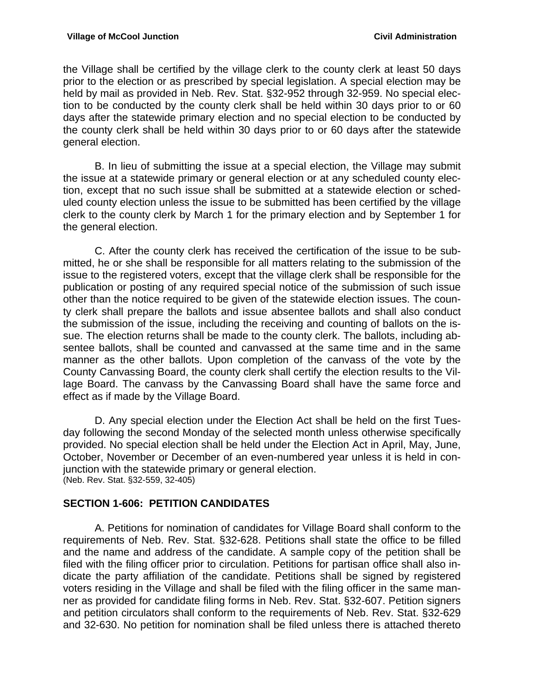the Village shall be certified by the village clerk to the county clerk at least 50 days prior to the election or as prescribed by special legislation. A special election may be held by mail as provided in Neb. Rev. Stat. §32-952 through 32-959. No special election to be conducted by the county clerk shall be held within 30 days prior to or 60 days after the statewide primary election and no special election to be conducted by the county clerk shall be held within 30 days prior to or 60 days after the statewide general election.

 B. In lieu of submitting the issue at a special election, the Village may submit the issue at a statewide primary or general election or at any scheduled county election, except that no such issue shall be submitted at a statewide election or scheduled county election unless the issue to be submitted has been certified by the village clerk to the county clerk by March 1 for the primary election and by September 1 for the general election.

 C. After the county clerk has received the certification of the issue to be submitted, he or she shall be responsible for all matters relating to the submission of the issue to the registered voters, except that the village clerk shall be responsible for the publication or posting of any required special notice of the submission of such issue other than the notice required to be given of the statewide election issues. The county clerk shall prepare the ballots and issue absentee ballots and shall also conduct the submission of the issue, including the receiving and counting of ballots on the issue. The election returns shall be made to the county clerk. The ballots, including absentee ballots, shall be counted and canvassed at the same time and in the same manner as the other ballots. Upon completion of the canvass of the vote by the County Canvassing Board, the county clerk shall certify the election results to the Village Board. The canvass by the Canvassing Board shall have the same force and effect as if made by the Village Board.

 D. Any special election under the Election Act shall be held on the first Tuesday following the second Monday of the selected month unless otherwise specifically provided. No special election shall be held under the Election Act in April, May, June, October, November or December of an even-numbered year unless it is held in conjunction with the statewide primary or general election. (Neb. Rev. Stat. §32-559, 32-405)

## **SECTION 1-606: PETITION CANDIDATES**

 A. Petitions for nomination of candidates for Village Board shall conform to the requirements of Neb. Rev. Stat. §32-628. Petitions shall state the office to be filled and the name and address of the candidate. A sample copy of the petition shall be filed with the filing officer prior to circulation. Petitions for partisan office shall also indicate the party affiliation of the candidate. Petitions shall be signed by registered voters residing in the Village and shall be filed with the filing officer in the same manner as provided for candidate filing forms in Neb. Rev. Stat. §32-607. Petition signers and petition circulators shall conform to the requirements of Neb. Rev. Stat. §32-629 and 32-630. No petition for nomination shall be filed unless there is attached thereto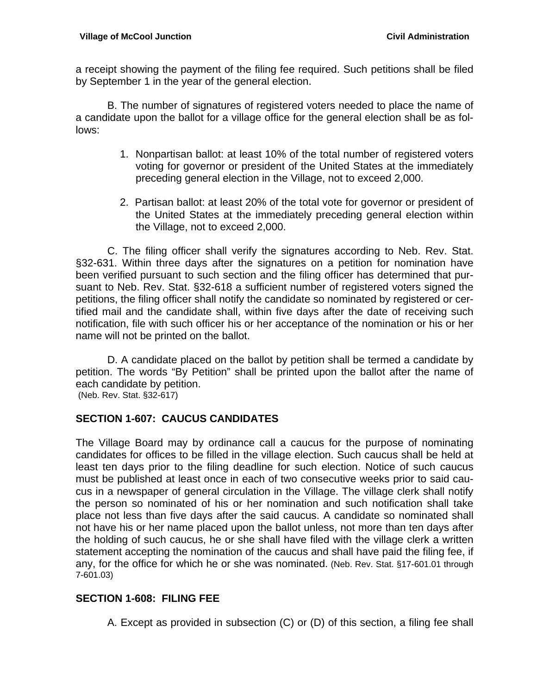a receipt showing the payment of the filing fee required. Such petitions shall be filed by September 1 in the year of the general election.

 B. The number of signatures of registered voters needed to place the name of a candidate upon the ballot for a village office for the general election shall be as follows:

- 1. Nonpartisan ballot: at least 10% of the total number of registered voters voting for governor or president of the United States at the immediately preceding general election in the Village, not to exceed 2,000.
- 2. Partisan ballot: at least 20% of the total vote for governor or president of the United States at the immediately preceding general election within the Village, not to exceed 2,000.

C. The filing officer shall verify the signatures according to Neb. Rev. Stat. §32-631. Within three days after the signatures on a petition for nomination have been verified pursuant to such section and the filing officer has determined that pursuant to Neb. Rev. Stat. §32-618 a sufficient number of registered voters signed the petitions, the filing officer shall notify the candidate so nominated by registered or certified mail and the candidate shall, within five days after the date of receiving such notification, file with such officer his or her acceptance of the nomination or his or her name will not be printed on the ballot.

 D. A candidate placed on the ballot by petition shall be termed a candidate by petition. The words "By Petition" shall be printed upon the ballot after the name of each candidate by petition.

(Neb. Rev. Stat. §32-617)

#### **SECTION 1-607: CAUCUS CANDIDATES**

The Village Board may by ordinance call a caucus for the purpose of nominating candidates for offices to be filled in the village election. Such caucus shall be held at least ten days prior to the filing deadline for such election. Notice of such caucus must be published at least once in each of two consecutive weeks prior to said caucus in a newspaper of general circulation in the Village. The village clerk shall notify the person so nominated of his or her nomination and such notification shall take place not less than five days after the said caucus. A candidate so nominated shall not have his or her name placed upon the ballot unless, not more than ten days after the holding of such caucus, he or she shall have filed with the village clerk a written statement accepting the nomination of the caucus and shall have paid the filing fee, if any, for the office for which he or she was nominated. (Neb. Rev. Stat. §17-601.01 through 7-601.03)

## **SECTION 1-608: FILING FEE**

A. Except as provided in subsection (C) or (D) of this section, a filing fee shall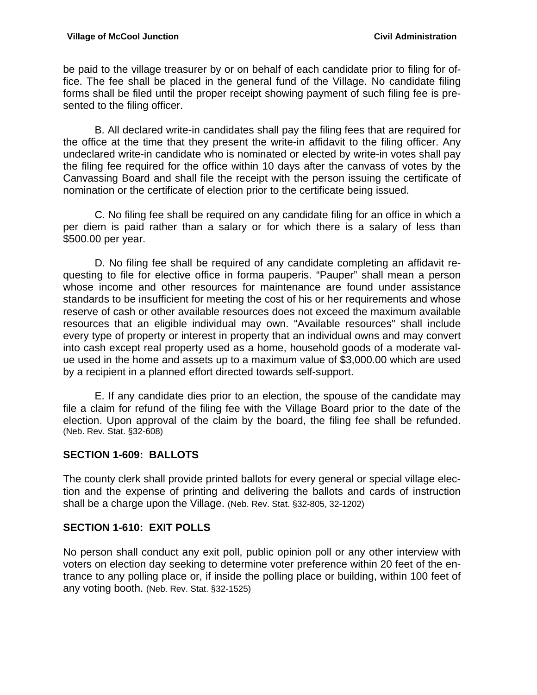be paid to the village treasurer by or on behalf of each candidate prior to filing for office. The fee shall be placed in the general fund of the Village. No candidate filing forms shall be filed until the proper receipt showing payment of such filing fee is presented to the filing officer.

 B. All declared write-in candidates shall pay the filing fees that are required for the office at the time that they present the write-in affidavit to the filing officer. Any undeclared write-in candidate who is nominated or elected by write-in votes shall pay the filing fee required for the office within 10 days after the canvass of votes by the Canvassing Board and shall file the receipt with the person issuing the certificate of nomination or the certificate of election prior to the certificate being issued.

 C. No filing fee shall be required on any candidate filing for an office in which a per diem is paid rather than a salary or for which there is a salary of less than \$500.00 per year.

 D. No filing fee shall be required of any candidate completing an affidavit requesting to file for elective office in forma pauperis. "Pauper" shall mean a person whose income and other resources for maintenance are found under assistance standards to be insufficient for meeting the cost of his or her requirements and whose reserve of cash or other available resources does not exceed the maximum available resources that an eligible individual may own. "Available resources" shall include every type of property or interest in property that an individual owns and may convert into cash except real property used as a home, household goods of a moderate value used in the home and assets up to a maximum value of \$3,000.00 which are used by a recipient in a planned effort directed towards self-support.

 E. If any candidate dies prior to an election, the spouse of the candidate may file a claim for refund of the filing fee with the Village Board prior to the date of the election. Upon approval of the claim by the board, the filing fee shall be refunded. (Neb. Rev. Stat. §32-608)

## **SECTION 1-609: BALLOTS**

The county clerk shall provide printed ballots for every general or special village election and the expense of printing and delivering the ballots and cards of instruction shall be a charge upon the Village. (Neb. Rev. Stat. §32-805, 32-1202)

## **SECTION 1-610: EXIT POLLS**

No person shall conduct any exit poll, public opinion poll or any other interview with voters on election day seeking to determine voter preference within 20 feet of the entrance to any polling place or, if inside the polling place or building, within 100 feet of any voting booth. (Neb. Rev. Stat. §32-1525)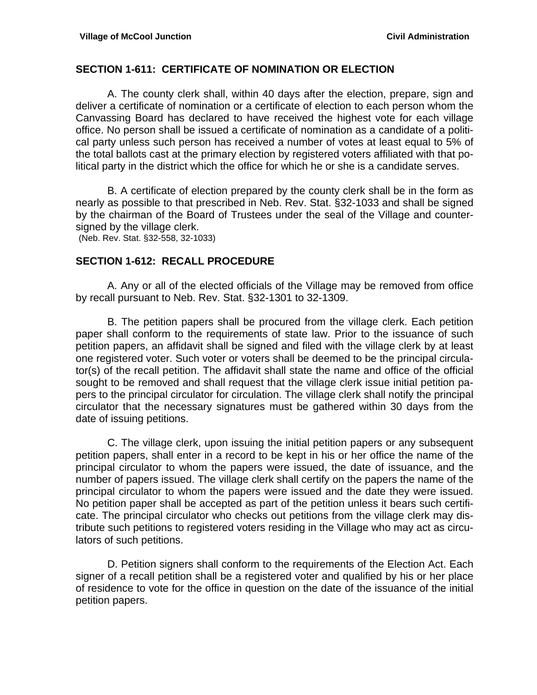#### **SECTION 1-611: CERTIFICATE OF NOMINATION OR ELECTION**

A. The county clerk shall, within 40 days after the election, prepare, sign and deliver a certificate of nomination or a certificate of election to each person whom the Canvassing Board has declared to have received the highest vote for each village office. No person shall be issued a certificate of nomination as a candidate of a political party unless such person has received a number of votes at least equal to 5% of the total ballots cast at the primary election by registered voters affiliated with that political party in the district which the office for which he or she is a candidate serves.

 B. A certificate of election prepared by the county clerk shall be in the form as nearly as possible to that prescribed in Neb. Rev. Stat. §32-1033 and shall be signed by the chairman of the Board of Trustees under the seal of the Village and countersigned by the village clerk.

(Neb. Rev. Stat. §32-558, 32-1033)

#### **SECTION 1-612: RECALL PROCEDURE**

 A. Any or all of the elected officials of the Village may be removed from office by recall pursuant to Neb. Rev. Stat. §32-1301 to 32-1309.

 B. The petition papers shall be procured from the village clerk. Each petition paper shall conform to the requirements of state law. Prior to the issuance of such petition papers, an affidavit shall be signed and filed with the village clerk by at least one registered voter. Such voter or voters shall be deemed to be the principal circulator(s) of the recall petition. The affidavit shall state the name and office of the official sought to be removed and shall request that the village clerk issue initial petition papers to the principal circulator for circulation. The village clerk shall notify the principal circulator that the necessary signatures must be gathered within 30 days from the date of issuing petitions.

 C. The village clerk, upon issuing the initial petition papers or any subsequent petition papers, shall enter in a record to be kept in his or her office the name of the principal circulator to whom the papers were issued, the date of issuance, and the number of papers issued. The village clerk shall certify on the papers the name of the principal circulator to whom the papers were issued and the date they were issued. No petition paper shall be accepted as part of the petition unless it bears such certificate. The principal circulator who checks out petitions from the village clerk may distribute such petitions to registered voters residing in the Village who may act as circulators of such petitions.

 D. Petition signers shall conform to the requirements of the Election Act. Each signer of a recall petition shall be a registered voter and qualified by his or her place of residence to vote for the office in question on the date of the issuance of the initial petition papers.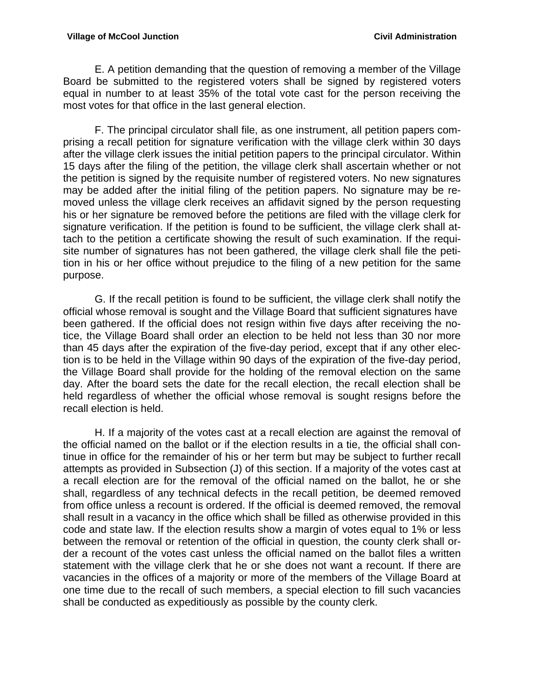E. A petition demanding that the question of removing a member of the Village Board be submitted to the registered voters shall be signed by registered voters equal in number to at least 35% of the total vote cast for the person receiving the most votes for that office in the last general election.

 F. The principal circulator shall file, as one instrument, all petition papers comprising a recall petition for signature verification with the village clerk within 30 days after the village clerk issues the initial petition papers to the principal circulator. Within 15 days after the filing of the petition, the village clerk shall ascertain whether or not the petition is signed by the requisite number of registered voters. No new signatures may be added after the initial filing of the petition papers. No signature may be removed unless the village clerk receives an affidavit signed by the person requesting his or her signature be removed before the petitions are filed with the village clerk for signature verification. If the petition is found to be sufficient, the village clerk shall attach to the petition a certificate showing the result of such examination. If the requisite number of signatures has not been gathered, the village clerk shall file the petition in his or her office without prejudice to the filing of a new petition for the same purpose.

 G. If the recall petition is found to be sufficient, the village clerk shall notify the official whose removal is sought and the Village Board that sufficient signatures have been gathered. If the official does not resign within five days after receiving the notice, the Village Board shall order an election to be held not less than 30 nor more than 45 days after the expiration of the five-day period, except that if any other election is to be held in the Village within 90 days of the expiration of the five-day period, the Village Board shall provide for the holding of the removal election on the same day. After the board sets the date for the recall election, the recall election shall be held regardless of whether the official whose removal is sought resigns before the recall election is held.

 H. If a majority of the votes cast at a recall election are against the removal of the official named on the ballot or if the election results in a tie, the official shall continue in office for the remainder of his or her term but may be subject to further recall attempts as provided in Subsection (J) of this section. If a majority of the votes cast at a recall election are for the removal of the official named on the ballot, he or she shall, regardless of any technical defects in the recall petition, be deemed removed from office unless a recount is ordered. If the official is deemed removed, the removal shall result in a vacancy in the office which shall be filled as otherwise provided in this code and state law. If the election results show a margin of votes equal to 1% or less between the removal or retention of the official in question, the county clerk shall order a recount of the votes cast unless the official named on the ballot files a written statement with the village clerk that he or she does not want a recount. If there are vacancies in the offices of a majority or more of the members of the Village Board at one time due to the recall of such members, a special election to fill such vacancies shall be conducted as expeditiously as possible by the county clerk.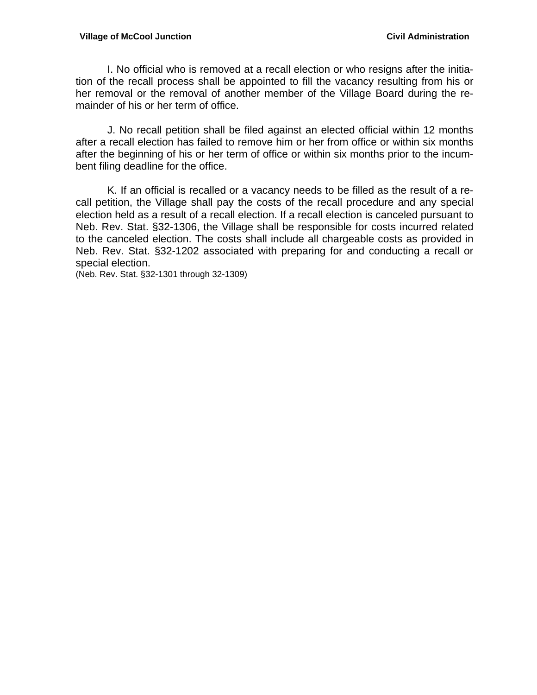#### **Village of McCool Junction Civil Administration**

 I. No official who is removed at a recall election or who resigns after the initiation of the recall process shall be appointed to fill the vacancy resulting from his or her removal or the removal of another member of the Village Board during the remainder of his or her term of office.

 J. No recall petition shall be filed against an elected official within 12 months after a recall election has failed to remove him or her from office or within six months after the beginning of his or her term of office or within six months prior to the incumbent filing deadline for the office.

 K. If an official is recalled or a vacancy needs to be filled as the result of a recall petition, the Village shall pay the costs of the recall procedure and any special election held as a result of a recall election. If a recall election is canceled pursuant to Neb. Rev. Stat. §32-1306, the Village shall be responsible for costs incurred related to the canceled election. The costs shall include all chargeable costs as provided in Neb. Rev. Stat. §32-1202 associated with preparing for and conducting a recall or special election.

(Neb. Rev. Stat. §32-1301 through 32-1309)